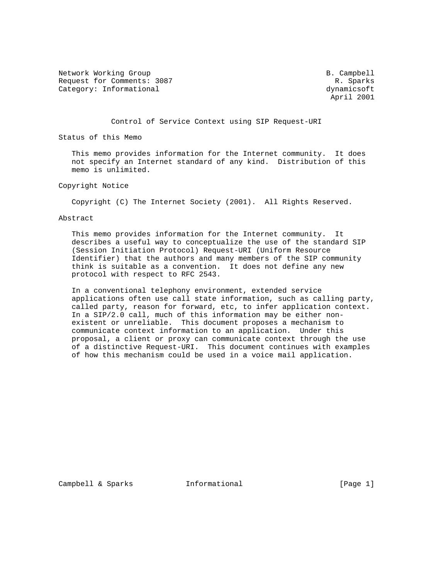Network Working Group and the settlement of the Second B. Campbell Request for Comments: 3087 Request for Comments: 3087 Category: Informational dynamicsoft dynamicsoft

April 2001

Control of Service Context using SIP Request-URI

Status of this Memo

 This memo provides information for the Internet community. It does not specify an Internet standard of any kind. Distribution of this memo is unlimited.

Copyright Notice

Copyright (C) The Internet Society (2001). All Rights Reserved.

Abstract

 This memo provides information for the Internet community. It describes a useful way to conceptualize the use of the standard SIP (Session Initiation Protocol) Request-URI (Uniform Resource Identifier) that the authors and many members of the SIP community think is suitable as a convention. It does not define any new protocol with respect to RFC 2543.

 In a conventional telephony environment, extended service applications often use call state information, such as calling party, called party, reason for forward, etc, to infer application context. In a SIP/2.0 call, much of this information may be either non existent or unreliable. This document proposes a mechanism to communicate context information to an application. Under this proposal, a client or proxy can communicate context through the use of a distinctive Request-URI. This document continues with examples of how this mechanism could be used in a voice mail application.

Campbell & Sparks **Informational** [Page 1]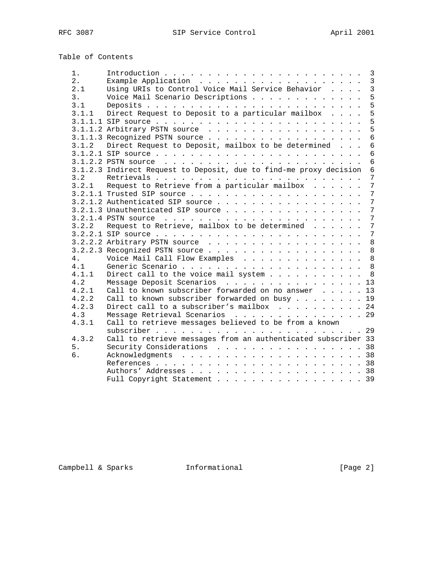Table of Contents

| $1$ . | $\overline{3}$                                                                       |  |
|-------|--------------------------------------------------------------------------------------|--|
| 2.    | $\mathbf{3}$                                                                         |  |
| 2.1   | Using URIs to Control Voice Mail Service Behavior<br>$\overline{3}$                  |  |
| 3.    | 5<br>Voice Mail Scenario Descriptions                                                |  |
| 3.1   | 5                                                                                    |  |
| 3.1.1 | 5<br>Direct Request to Deposit to a particular mailbox                               |  |
|       | 5                                                                                    |  |
|       | 5                                                                                    |  |
|       | $6\overline{6}$                                                                      |  |
| 3.1.2 | Direct Request to Deposit, mailbox to be determined<br>$6\phantom{1}$                |  |
|       | $6\overline{6}$                                                                      |  |
|       | $6\,$                                                                                |  |
|       | 3.1.2.3 Indirect Request to Deposit, due to find-me proxy decision<br>$6\phantom{1}$ |  |
| 3.2   | $\overline{7}$                                                                       |  |
|       | 7<br>3.2.1 Request to Retrieve from a particular mailbox                             |  |
|       | 7                                                                                    |  |
|       | 7                                                                                    |  |
|       | 7<br>3.2.1.3 Unauthenticated SIP source                                              |  |
|       | 7                                                                                    |  |
| 3.2.2 | $\overline{7}$<br>Request to Retrieve, mailbox to be determined                      |  |
|       | $7\overline{ }$                                                                      |  |
|       | 8                                                                                    |  |
|       | 8                                                                                    |  |
| 4.    | 8<br>Voice Mail Call Flow Examples                                                   |  |
| 4.1   |                                                                                      |  |
| 4.1.1 | Direct call to the voice mail system 8                                               |  |
| 4.2   | Message Deposit Scenarios 13                                                         |  |
| 4.2.1 | Call to known subscriber forwarded on no answer 13                                   |  |
| 4.2.2 | Call to known subscriber forwarded on busy 19                                        |  |
| 4.2.3 | Direct call to a subscriber's mailbox 24                                             |  |
| 4.3   | Message Retrieval Scenarios 29                                                       |  |
| 4.3.1 | Call to retrieve messages believed to be from a known                                |  |
|       |                                                                                      |  |
| 4.3.2 | Call to retrieve messages from an authenticated subscriber 33                        |  |
| 5.    | Security Considerations 38                                                           |  |
| б.    |                                                                                      |  |
|       |                                                                                      |  |
|       |                                                                                      |  |
|       | Full Copyright Statement 39                                                          |  |
|       |                                                                                      |  |

Campbell & Sparks **Informational** [Page 2]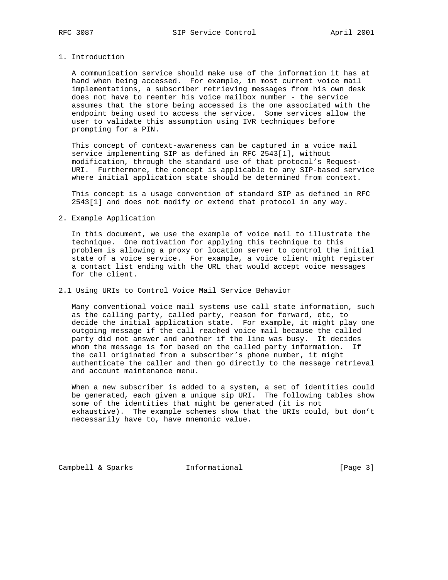### 1. Introduction

 A communication service should make use of the information it has at hand when being accessed. For example, in most current voice mail implementations, a subscriber retrieving messages from his own desk does not have to reenter his voice mailbox number - the service assumes that the store being accessed is the one associated with the endpoint being used to access the service. Some services allow the user to validate this assumption using IVR techniques before prompting for a PIN.

 This concept of context-awareness can be captured in a voice mail service implementing SIP as defined in RFC 2543[1], without modification, through the standard use of that protocol's Request- URI. Furthermore, the concept is applicable to any SIP-based service where initial application state should be determined from context.

 This concept is a usage convention of standard SIP as defined in RFC 2543[1] and does not modify or extend that protocol in any way.

#### 2. Example Application

 In this document, we use the example of voice mail to illustrate the technique. One motivation for applying this technique to this problem is allowing a proxy or location server to control the initial state of a voice service. For example, a voice client might register a contact list ending with the URL that would accept voice messages for the client.

### 2.1 Using URIs to Control Voice Mail Service Behavior

 Many conventional voice mail systems use call state information, such as the calling party, called party, reason for forward, etc, to decide the initial application state. For example, it might play one outgoing message if the call reached voice mail because the called party did not answer and another if the line was busy. It decides whom the message is for based on the called party information. If the call originated from a subscriber's phone number, it might authenticate the caller and then go directly to the message retrieval and account maintenance menu.

 When a new subscriber is added to a system, a set of identities could be generated, each given a unique sip URI. The following tables show some of the identities that might be generated (it is not exhaustive). The example schemes show that the URIs could, but don't necessarily have to, have mnemonic value.

Campbell & Sparks **Informational** [Page 3]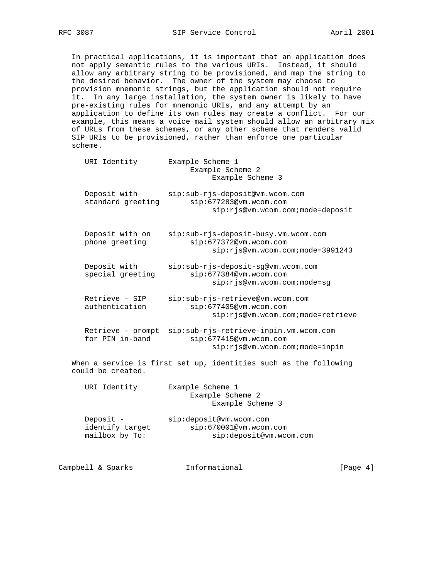In practical applications, it is important that an application does not apply semantic rules to the various URIs. Instead, it should allow any arbitrary string to be provisioned, and map the string to the desired behavior. The owner of the system may choose to provision mnemonic strings, but the application should not require it. In any large installation, the system owner is likely to have pre-existing rules for mnemonic URIs, and any attempt by an application to define its own rules may create a conflict. For our example, this means a voice mail system should allow an arbitrary mix of URLs from these schemes, or any other scheme that renders valid SIP URIs to be provisioned, rather than enforce one particular scheme.

| URI Identity                                   | Example Scheme 1<br>Example Scheme 2<br>Example Scheme 3                                             |
|------------------------------------------------|------------------------------------------------------------------------------------------------------|
| Deposit with<br>standard greeting              | sip:sub-rjs-deposit@vm.wcom.com<br>sip:677283@vm.wcom.com<br>sip:rjs@vm.wcom.com;mode=deposit        |
| Deposit with on<br>phone greeting              | sip:sub-rjs-deposit-busy.vm.wcom.com<br>sip:677372@vm.wcom.com<br>sip: rjs@vm.wcom.com; mode=3991243 |
| Deposit with<br>special greeting               | sip:sub-rjs-deposit-sg@vm.wcom.com<br>sip:677384@vm.wcom.com<br>sip:rjs@vm.wcom.com;mode=sg          |
| Retrieve - SIP<br>authentication               | sip:sub-rjs-retrieve@vm.wcom.com<br>sip:677405@vm.wcom.com<br>sip:rjs@vm.wcom.com;mode=retrieve      |
| Retrieve - prompt<br>for PIN in-band           | sip:sub-rjs-retrieve-inpin.vm.wcom.com<br>sip:677415@vm.wcom.com<br>sip:rjs@vm.wcom.com;mode=inpin   |
| could be created.                              | When a service is first set up, identities such as the following                                     |
| URI Identity                                   | Example Scheme 1<br>Example Scheme 2<br>Example Scheme 3                                             |
| Deposit -<br>identify target<br>mailbox by To: | sip:deposit@vm.wcom.com<br>sip:670001@vm.wcom.com<br>sip:deposit@vm.wcom.com                         |

Campbell & Sparks **Informational** [Page 4]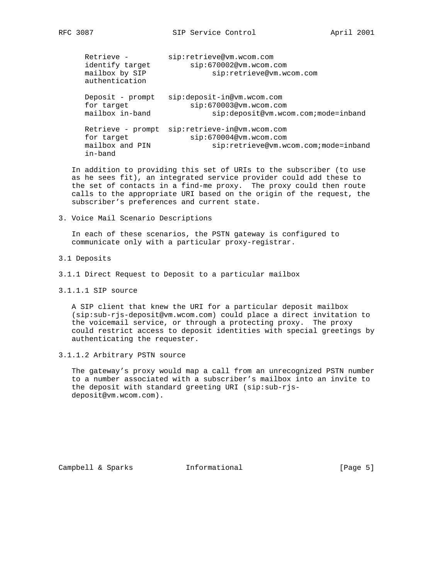Retrieve - sip:retrieve@vm.wcom.com identify target sip:670002@vm.wcom.com mailbox by SIP sip:retrieve@vm.wcom.com authentication Deposit - prompt sip:deposit-in@vm.wcom.com for target sip:670003@vm.wcom.com mailbox in-band sip:deposit@vm.wcom.com;mode=inband Retrieve - prompt sip:retrieve-in@vm.wcom.com for target sip:670004@vm.wcom.com mailbox and PIN sip:retrieve@vm.wcom.com;mode=inband in-band

 In addition to providing this set of URIs to the subscriber (to use as he sees fit), an integrated service provider could add these to the set of contacts in a find-me proxy. The proxy could then route calls to the appropriate URI based on the origin of the request, the subscriber's preferences and current state.

3. Voice Mail Scenario Descriptions

 In each of these scenarios, the PSTN gateway is configured to communicate only with a particular proxy-registrar.

- 3.1 Deposits
- 3.1.1 Direct Request to Deposit to a particular mailbox
- 3.1.1.1 SIP source

 A SIP client that knew the URI for a particular deposit mailbox (sip:sub-rjs-deposit@vm.wcom.com) could place a direct invitation to the voicemail service, or through a protecting proxy. The proxy could restrict access to deposit identities with special greetings by authenticating the requester.

3.1.1.2 Arbitrary PSTN source

 The gateway's proxy would map a call from an unrecognized PSTN number to a number associated with a subscriber's mailbox into an invite to the deposit with standard greeting URI (sip:sub-rjs deposit@vm.wcom.com).

Campbell & Sparks **Informational** [Page 5]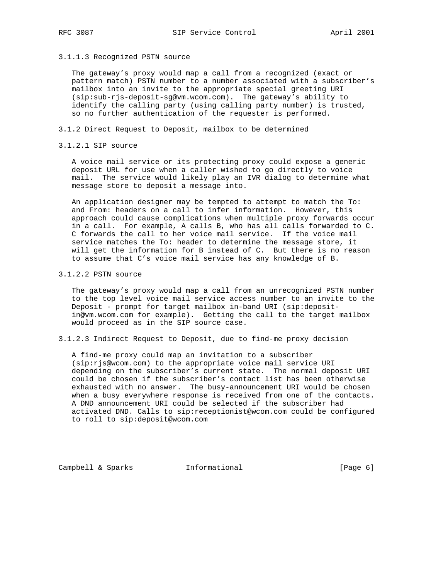3.1.1.3 Recognized PSTN source

 The gateway's proxy would map a call from a recognized (exact or pattern match) PSTN number to a number associated with a subscriber's mailbox into an invite to the appropriate special greeting URI (sip:sub-rjs-deposit-sg@vm.wcom.com). The gateway's ability to identify the calling party (using calling party number) is trusted, so no further authentication of the requester is performed.

- 3.1.2 Direct Request to Deposit, mailbox to be determined
- 3.1.2.1 SIP source

 A voice mail service or its protecting proxy could expose a generic deposit URL for use when a caller wished to go directly to voice mail. The service would likely play an IVR dialog to determine what message store to deposit a message into.

 An application designer may be tempted to attempt to match the To: and From: headers on a call to infer information. However, this approach could cause complications when multiple proxy forwards occur in a call. For example, A calls B, who has all calls forwarded to C. C forwards the call to her voice mail service. If the voice mail service matches the To: header to determine the message store, it will get the information for B instead of C. But there is no reason to assume that C's voice mail service has any knowledge of B.

3.1.2.2 PSTN source

 The gateway's proxy would map a call from an unrecognized PSTN number to the top level voice mail service access number to an invite to the Deposit - prompt for target mailbox in-band URI (sip:deposit in@vm.wcom.com for example). Getting the call to the target mailbox would proceed as in the SIP source case.

3.1.2.3 Indirect Request to Deposit, due to find-me proxy decision

 A find-me proxy could map an invitation to a subscriber (sip:rjs@wcom.com) to the appropriate voice mail service URI depending on the subscriber's current state. The normal deposit URI could be chosen if the subscriber's contact list has been otherwise exhausted with no answer. The busy-announcement URI would be chosen when a busy everywhere response is received from one of the contacts. A DND announcement URI could be selected if the subscriber had activated DND. Calls to sip:receptionist@wcom.com could be configured to roll to sip:deposit@wcom.com

Campbell & Sparks **Informational** [Page 6]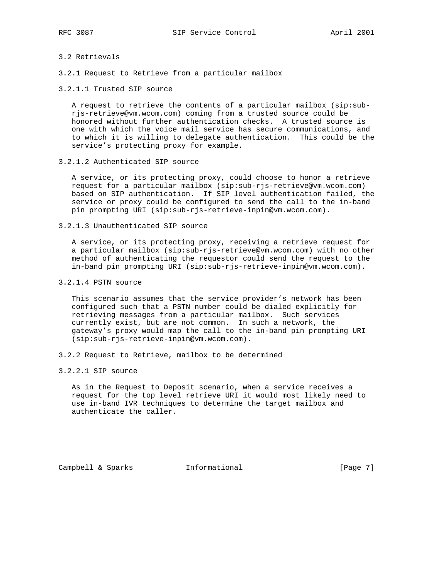### 3.2 Retrievals

- 3.2.1 Request to Retrieve from a particular mailbox
- 3.2.1.1 Trusted SIP source

 A request to retrieve the contents of a particular mailbox (sip:sub rjs-retrieve@vm.wcom.com) coming from a trusted source could be honored without further authentication checks. A trusted source is one with which the voice mail service has secure communications, and to which it is willing to delegate authentication. This could be the service's protecting proxy for example.

3.2.1.2 Authenticated SIP source

 A service, or its protecting proxy, could choose to honor a retrieve request for a particular mailbox (sip:sub-rjs-retrieve@vm.wcom.com) based on SIP authentication. If SIP level authentication failed, the service or proxy could be configured to send the call to the in-band pin prompting URI (sip:sub-rjs-retrieve-inpin@vm.wcom.com).

3.2.1.3 Unauthenticated SIP source

 A service, or its protecting proxy, receiving a retrieve request for a particular mailbox (sip:sub-rjs-retrieve@vm.wcom.com) with no other method of authenticating the requestor could send the request to the in-band pin prompting URI (sip:sub-rjs-retrieve-inpin@vm.wcom.com).

3.2.1.4 PSTN source

 This scenario assumes that the service provider's network has been configured such that a PSTN number could be dialed explicitly for retrieving messages from a particular mailbox. Such services currently exist, but are not common. In such a network, the gateway's proxy would map the call to the in-band pin prompting URI (sip:sub-rjs-retrieve-inpin@vm.wcom.com).

- 3.2.2 Request to Retrieve, mailbox to be determined
- 3.2.2.1 SIP source

 As in the Request to Deposit scenario, when a service receives a request for the top level retrieve URI it would most likely need to use in-band IVR techniques to determine the target mailbox and authenticate the caller.

Campbell & Sparks **Informational** [Page 7]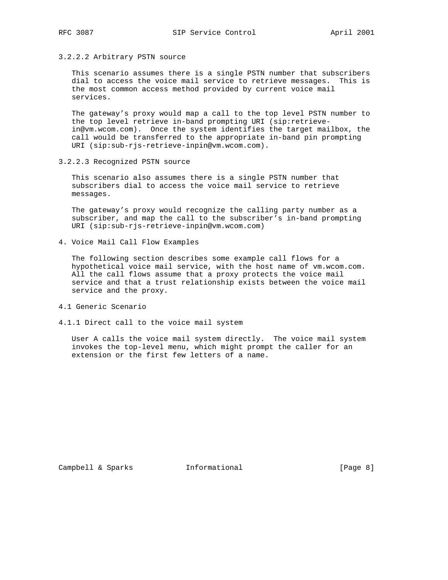3.2.2.2 Arbitrary PSTN source

 This scenario assumes there is a single PSTN number that subscribers dial to access the voice mail service to retrieve messages. This is the most common access method provided by current voice mail services.

 The gateway's proxy would map a call to the top level PSTN number to the top level retrieve in-band prompting URI (sip:retrieve in@vm.wcom.com). Once the system identifies the target mailbox, the call would be transferred to the appropriate in-band pin prompting URI (sip:sub-rjs-retrieve-inpin@vm.wcom.com).

3.2.2.3 Recognized PSTN source

 This scenario also assumes there is a single PSTN number that subscribers dial to access the voice mail service to retrieve messages.

 The gateway's proxy would recognize the calling party number as a subscriber, and map the call to the subscriber's in-band prompting URI (sip:sub-rjs-retrieve-inpin@vm.wcom.com)

4. Voice Mail Call Flow Examples

 The following section describes some example call flows for a hypothetical voice mail service, with the host name of vm.wcom.com. All the call flows assume that a proxy protects the voice mail service and that a trust relationship exists between the voice mail service and the proxy.

- 4.1 Generic Scenario
- 4.1.1 Direct call to the voice mail system

 User A calls the voice mail system directly. The voice mail system invokes the top-level menu, which might prompt the caller for an extension or the first few letters of a name.

Campbell & Sparks **Informational** [Page 8]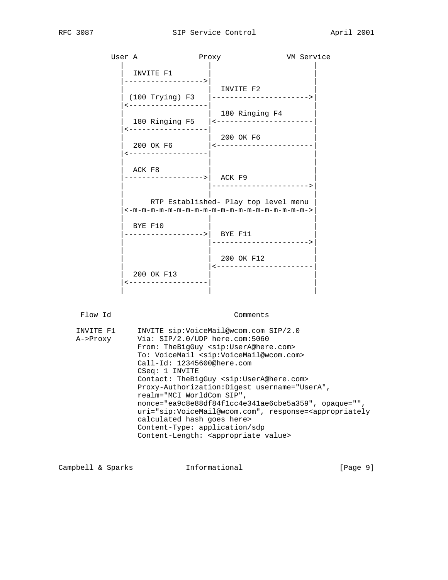| User A  |                                                  | Proxy                                                                                     | VM Service |
|---------|--------------------------------------------------|-------------------------------------------------------------------------------------------|------------|
|         | INVITE F1<br>------------------>                 |                                                                                           |            |
|         | $(100$ Trying) F3 $\vert$<br><------------------ | INVITE F2<br>---------------------->                                                      |            |
|         |                                                  | 180 Ringing F4<br>180 Ringing F5  <----------------------                                 |            |
|         | ------------------<br>200 OK F6                  | 200 OK F6<br><----------------------                                                      |            |
|         | ------------------<br>ACK F8                     |                                                                                           |            |
|         | ------------------>  ACK F9                      |                                                                                           |            |
|         |                                                  | RTP Established- Play top level menu<br>$\le -m-m-m-m-m-m-m-m-m-m-m-m-m-m-m-m-m-m-m-m-\n$ |            |
|         | BYE F10<br>----------------->  BYE F11           | --------------------->                                                                    |            |
|         |                                                  | 200 OK F12                                                                                |            |
|         | 200 OK F13<br>-------------------                | ----------------------                                                                    |            |
|         |                                                  |                                                                                           |            |
| Flow Id |                                                  | Comments                                                                                  |            |

| INVITE F1 | INVITE sip: VoiceMail@wcom.com SIP/2.0                                          |
|-----------|---------------------------------------------------------------------------------|
| A->Proxy  | Via: SIP/2.0/UDP here.com:5060                                                  |
|           | From: TheBigGuy <sip:usera@here.com></sip:usera@here.com>                       |
|           | To: VoiceMail <sip:voicemail@wcom.com></sip:voicemail@wcom.com>                 |
|           | $Call$ -Id: $12345600$ @here.com                                                |
|           | CSeq: 1 INVITE                                                                  |
|           | Contact: TheBigGuy <sip:usera@here.com></sip:usera@here.com>                    |
|           | Proxy-Authorization: Digest username="UserA",                                   |
|           | realm="MCI WorldCom SIP",                                                       |
|           | $nonce="ea9c8e88df84f1cc4e341ae6cbe5a359", opaque="",$                          |
|           | uri="sip:VoiceMail@wcom.com", response= <appropriately< th=""></appropriately<> |
|           | calculated hash goes here>                                                      |
|           | Content-Type: application/sdp                                                   |
|           | Content-Length: <appropriate value=""></appropriate>                            |
|           |                                                                                 |

| Informational<br>Campbell & Sparks | [Page 9] |  |
|------------------------------------|----------|--|
|------------------------------------|----------|--|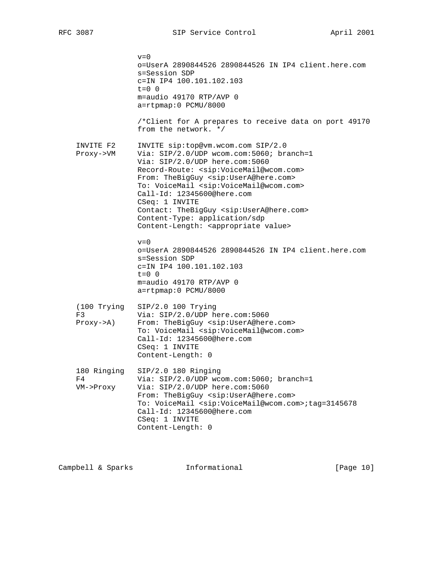$v=0$  o=UserA 2890844526 2890844526 IN IP4 client.here.com s=Session SDP c=IN IP4 100.101.102.103  $t=0$  0 m=audio 49170 RTP/AVP 0 a=rtpmap:0 PCMU/8000 /\*Client for A prepares to receive data on port 49170 from the network. \*/ INVITE F2 INVITE sip:top@vm.wcom.com SIP/2.0 Proxy->VM Via: SIP/2.0/UDP wcom.com:5060; branch=1 Via: SIP/2.0/UDP here.com:5060 Record-Route: <sip:VoiceMail@wcom.com> From: TheBigGuy <sip:UserA@here.com> To: VoiceMail <sip:VoiceMail@wcom.com> Call-Id: 12345600@here.com CSeq: 1 INVITE Contact: TheBigGuy <sip:UserA@here.com> Content-Type: application/sdp Content-Length: <appropriate value>  $v=0$  o=UserA 2890844526 2890844526 IN IP4 client.here.com s=Session SDP c=IN IP4 100.101.102.103  $t=0$  0 m=audio 49170 RTP/AVP 0 a=rtpmap:0 PCMU/8000 (100 Trying SIP/2.0 100 Trying F3 Via: SIP/2.0/UDP here.com:5060 Proxy->A) From: TheBigGuy <sip:UserA@here.com> To: VoiceMail <sip:VoiceMail@wcom.com> Call-Id: 12345600@here.com CSeq: 1 INVITE Content-Length: 0 180 Ringing SIP/2.0 180 Ringing F4 Via: SIP/2.0/UDP wcom.com:5060; branch=1 VM->Proxy Via: SIP/2.0/UDP here.com:5060 From: TheBigGuy <sip:UserA@here.com> To: VoiceMail <sip:VoiceMail@wcom.com>;tag=3145678 Call-Id: 12345600@here.com CSeq: 1 INVITE Content-Length: 0

Campbell & Sparks Informational [Page 10]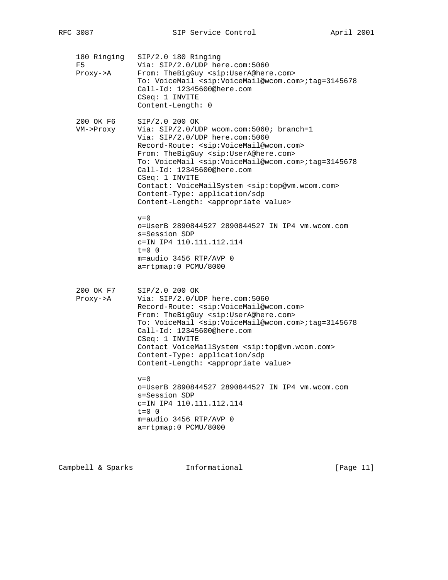| 180 Ringing<br>F5<br>Proxy->A      | $SIP/2.0$ 180 Ringing<br>Via: SIP/2.0/UDP here.com:5060<br>From: TheBigGuy <sip:usera@here.com><br/>To: VoiceMail <sip:voicemail@wcom.com>;tag=3145678<br/>Call-Id: 12345600@here.com<br/>CSeq: 1 INVITE<br/>Content-Length: 0</sip:voicemail@wcom.com></sip:usera@here.com>                                                                                                                                                                                                                                                        |
|------------------------------------|-------------------------------------------------------------------------------------------------------------------------------------------------------------------------------------------------------------------------------------------------------------------------------------------------------------------------------------------------------------------------------------------------------------------------------------------------------------------------------------------------------------------------------------|
| 200 OK F6<br>VM->Proxy             | SIP/2.0 200 OK<br>Via: SIP/2.0/UDP wcom.com:5060; branch=1<br>Via: SIP/2.0/UDP here.com:5060<br>Record-Route: <sip:voicemail@wcom.com><br/>From: TheBigGuy <sip:usera@here.com><br/>To: VoiceMail <sip:voicemail@wcom.com>;tag=3145678<br/>Call-Id: 12345600@here.com<br/>CSeq: 1 INVITE<br/>Contact: VoiceMailSystem <sip:top@vm.wcom.com><br/>Content-Type: application/sdp<br/>Content-Length: <appropriate value=""></appropriate></sip:top@vm.wcom.com></sip:voicemail@wcom.com></sip:usera@here.com></sip:voicemail@wcom.com> |
|                                    | $v=0$<br>o=UserB 2890844527 2890844527 IN IP4 vm.wcom.com<br>s=Session SDP<br>c=IN IP4 110.111.112.114<br>$t = 0 \quad 0$<br>$m = \text{audio} 3456 RTP/AVP 0$<br>a=rtpmap:0 PCMU/8000                                                                                                                                                                                                                                                                                                                                              |
| 200 OK F7<br>$Proxy \rightarrow A$ | SIP/2.0 200 OK<br>Via: SIP/2.0/UDP here.com:5060<br>Record-Route: <sip:voicemail@wcom.com><br/>From: TheBigGuy <sip:usera@here.com><br/>To: VoiceMail <sip:voicemail@wcom.com>;tag=3145678<br/>Call-Id: 12345600@here.com<br/>CSeq: 1 INVITE<br/>Contact VoiceMailSystem <sip:top@vm.wcom.com><br/>Content-Type: application/sdp<br/>Content-Length: <appropriate value=""></appropriate></sip:top@vm.wcom.com></sip:voicemail@wcom.com></sip:usera@here.com></sip:voicemail@wcom.com>                                              |
|                                    | $r = 0$<br>o=UserB 2890844527 2890844527 IN IP4 vm.wcom.com<br>s=Session SDP<br>c=IN IP4 110.111.112.114<br>$t=0$ 0<br>m=audio 3456 RTP/AVP 0<br>a=rtpmap:0 PCMU/8000                                                                                                                                                                                                                                                                                                                                                               |

Campbell & Sparks Informational [Page 11]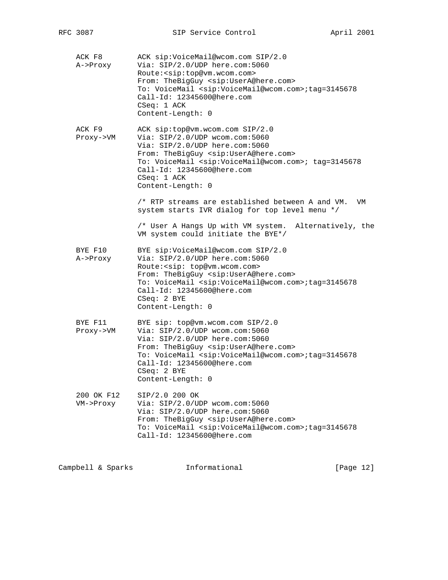| ACK F8<br>A->Proxy      | ACK sip: VoiceMail@wcom.com SIP/2.0<br>Via: SIP/2.0/UDP here.com:5060<br>Route: < sip: top@vm.wcom.com><br>From: TheBigGuy <sip:usera@here.com><br/>To: VoiceMail <sip:voicemail@wcom.com>;tag=3145678<br/>Call-Id: 12345600@here.com<br/>CSeq: 1 ACK<br/>Content-Length: 0</sip:voicemail@wcom.com></sip:usera@here.com>                                                          |
|-------------------------|------------------------------------------------------------------------------------------------------------------------------------------------------------------------------------------------------------------------------------------------------------------------------------------------------------------------------------------------------------------------------------|
| ACK F9<br>Proxy->VM     | ACK sip:top@vm.wcom.com SIP/2.0<br>Via: SIP/2.0/UDP wcom.com:5060<br>Via: SIP/2.0/UDP here.com:5060<br>From: TheBigGuy <sip:usera@here.com><br/>To: VoiceMail <sip:voicemail@wcom.com>; tag=3145678<br/>Call-Id: 12345600@here.com<br/>CSeq: 1 ACK<br/>Content-Length: 0<br/>/* RTP streams are established between A and VM.<br/>VM</sip:voicemail@wcom.com></sip:usera@here.com> |
|                         | system starts IVR dialog for top level menu */<br>/* User A Hangs Up with VM system.<br>Alternatively, the<br>VM system could initiate the BYE*/                                                                                                                                                                                                                                   |
| BYE F10<br>A->Proxy     | BYE sip:VoiceMail@wcom.com SIP/2.0<br>Via: SIP/2.0/UDP here.com:5060<br>Route: < sip: top@vm.wcom.com><br>From: TheBigGuy <sip:usera@here.com><br/>To: VoiceMail <sip:voicemail@wcom.com>;tag=3145678<br/>Call-Id: 12345600@here.com<br/>CSeq: 2 BYE<br/>Content-Length: 0</sip:voicemail@wcom.com></sip:usera@here.com>                                                           |
| BYE F11<br>Proxy->VM    | BYE sip: top@vm.wcom.com SIP/2.0<br>Via: SIP/2.0/UDP wcom.com:5060<br>Via: SIP/2.0/UDP here.com:5060<br>From: TheBigGuy <sip:usera@here.com><br/>To: VoiceMail <sip:voicemail@wcom.com>;tag=3145678<br/>Call-Id: 12345600@here.com<br/>CSeq: 2 BYE<br/>Content-Length: 0</sip:voicemail@wcom.com></sip:usera@here.com>                                                             |
| 200 OK F12<br>VM->Proxy | SIP/2.0 200 OK<br>Via: SIP/2.0/UDP wcom.com:5060<br>Via: SIP/2.0/UDP here.com:5060<br>From: TheBigGuy <sip:usera@here.com><br/>To: VoiceMail <sip:voicemail@wcom.com>;tag=3145678<br/>Call-Id: 12345600@here.com</sip:voicemail@wcom.com></sip:usera@here.com>                                                                                                                     |
|                         |                                                                                                                                                                                                                                                                                                                                                                                    |

Campbell & Sparks Informational [Page 12]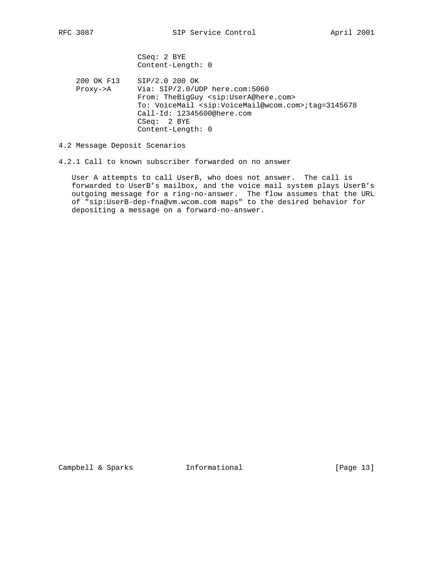CSeq: 2 BYE Content-Length: 0

 200 OK F13 SIP/2.0 200 OK Proxy->A Via: SIP/2.0/UDP here.com:5060 From: TheBigGuy <sip:UserA@here.com> To: VoiceMail <sip:VoiceMail@wcom.com>;tag=3145678 Call-Id: 12345600@here.com CSeq: 2 BYE Content-Length: 0

4.2 Message Deposit Scenarios

4.2.1 Call to known subscriber forwarded on no answer

 User A attempts to call UserB, who does not answer. The call is forwarded to UserB's mailbox, and the voice mail system plays UserB's outgoing message for a ring-no-answer. The flow assumes that the URL of "sip:UserB-dep-fna@vm.wcom.com maps" to the desired behavior for depositing a message on a forward-no-answer.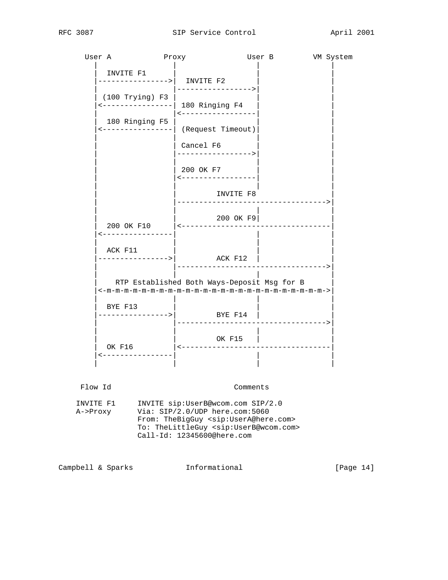

Campbell & Sparks Informational [Page 14]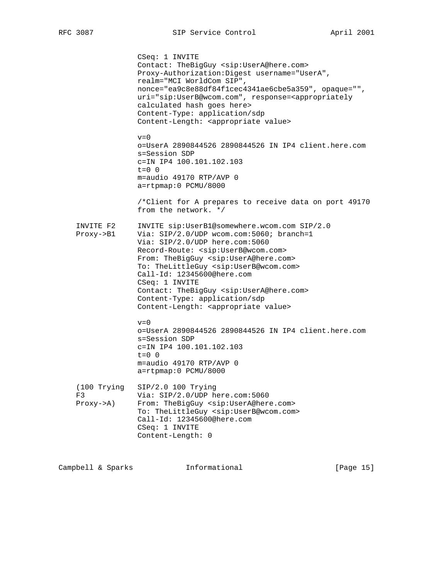CSeq: 1 INVITE Contact: TheBigGuy <sip:UserA@here.com> Proxy-Authorization:Digest username="UserA", realm="MCI WorldCom SIP", nonce="ea9c8e88df84f1cec4341ae6cbe5a359", opaque="", uri="sip:UserB@wcom.com", response=<appropriately calculated hash goes here> Content-Type: application/sdp Content-Length: <appropriate value>  $v=0$  o=UserA 2890844526 2890844526 IN IP4 client.here.com s=Session SDP c=IN IP4 100.101.102.103  $t=0$  0 m=audio 49170 RTP/AVP 0 a=rtpmap:0 PCMU/8000 /\*Client for A prepares to receive data on port 49170 from the network. \*/ INVITE F2 INVITE sip:UserB1@somewhere.wcom.com SIP/2.0 Proxy->B1 Via: SIP/2.0/UDP wcom.com:5060; branch=1 Via: SIP/2.0/UDP here.com:5060 Record-Route: <sip:UserB@wcom.com> From: TheBigGuy <sip:UserA@here.com> To: TheLittleGuy <sip:UserB@wcom.com> Call-Id: 12345600@here.com CSeq: 1 INVITE Contact: TheBigGuy <sip:UserA@here.com> Content-Type: application/sdp Content-Length: <appropriate value>  $v=0$  o=UserA 2890844526 2890844526 IN IP4 client.here.com s=Session SDP c=IN IP4 100.101.102.103 t=0 0 m=audio 49170 RTP/AVP 0 a=rtpmap:0 PCMU/8000 (100 Trying SIP/2.0 100 Trying F3 Via: SIP/2.0/UDP here.com:5060 Proxy->A) From: TheBigGuy <sip:UserA@here.com> To: TheLittleGuy <sip:UserB@wcom.com> Call-Id: 12345600@here.com CSeq: 1 INVITE Content-Length: 0

Campbell & Sparks **Informational** [Page 15]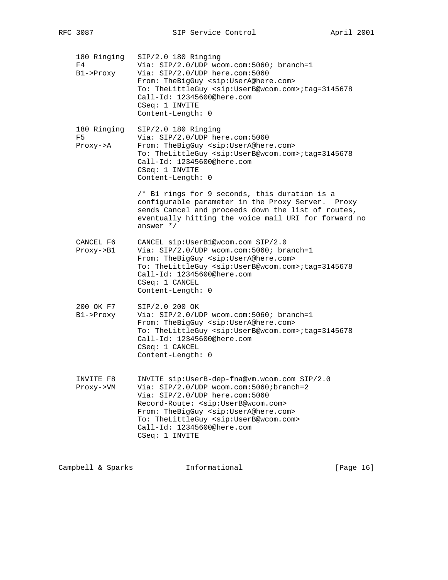| 180 Ringing<br>F4<br>$B1->Proxy$           | SIP/2.0 180 Ringing<br>Via: SIP/2.0/UDP wcom.com:5060; branch=1<br>Via: SIP/2.0/UDP here.com:5060<br>From: TheBigGuy <sip:usera@here.com><br/>To: TheLittleGuy <sip:userb@wcom.com>;tag=3145678<br/>Call-Id: 12345600@here.com<br/>CSeq: 1 INVITE<br/>Content-Length: 0</sip:userb@wcom.com></sip:usera@here.com>                               |
|--------------------------------------------|-------------------------------------------------------------------------------------------------------------------------------------------------------------------------------------------------------------------------------------------------------------------------------------------------------------------------------------------------|
| 180 Ringing<br>F5<br>$Proxy \rightarrow A$ | SIP/2.0 180 Ringing<br>Via: SIP/2.0/UDP here.com:5060<br>From: TheBigGuy <sip:usera@here.com><br/>To: TheLittleGuy <sip:userb@wcom.com>;tag=3145678<br/>Call-Id: 12345600@here.com<br/>CSeq: 1 INVITE<br/>Content-Length: 0</sip:userb@wcom.com></sip:usera@here.com>                                                                           |
|                                            | /* B1 rings for 9 seconds, this duration is a<br>configurable parameter in the Proxy Server. Proxy<br>sends Cancel and proceeds down the list of routes,<br>eventually hitting the voice mail URI for forward no<br>answer $*/$                                                                                                                 |
| CANCEL F6<br>$Proxy \rightarrow B1$        | CANCEL sip: UserBl@wcom.com SIP/2.0<br>Via: SIP/2.0/UDP wcom.com:5060; branch=1<br>From: TheBigGuy <sip:usera@here.com><br/>To: TheLittleGuy <sip:userb@wcom.com>;tag=3145678<br/>Call-Id: 12345600@here.com<br/>CSeq: 1 CANCEL<br/>Content-Length: 0</sip:userb@wcom.com></sip:usera@here.com>                                                 |
| 200 OK F7<br>$B1->Proxy$                   | SIP/2.0 200 OK<br>Via: SIP/2.0/UDP wcom.com:5060; branch=1<br>From: TheBigGuy <sip:usera@here.com><br/>To: TheLittleGuy <sip:userb@wcom.com>;tag=3145678<br/>Call-Id: 12345600@here.com<br/>CSeq: 1 CANCEL<br/>Content-Length: 0</sip:userb@wcom.com></sip:usera@here.com>                                                                      |
| INVITE F8<br>Proxy->VM                     | INVITE sip:UserB-dep-fna@vm.wcom.com SIP/2.0<br>Via: SIP/2.0/UDP wcom.com:5060;branch=2<br>Via: SIP/2.0/UDP here.com:5060<br>Record-Route: < sip: UserB@wcom.com><br>From: TheBigGuy <sip:usera@here.com><br/>To: TheLittleGuy <sip:userb@wcom.com><br/>Call-Id: 12345600@here.com<br/>CSeq: 1 INVITE</sip:userb@wcom.com></sip:usera@here.com> |

Campbell & Sparks Informational [Page 16]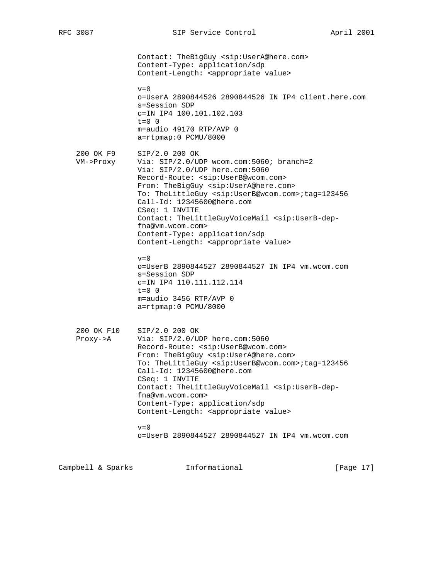Contact: TheBigGuy <sip:UserA@here.com> Content-Type: application/sdp Content-Length: <appropriate value>  $v=0$  o=UserA 2890844526 2890844526 IN IP4 client.here.com s=Session SDP c=IN IP4 100.101.102.103  $t=0$  0 m=audio 49170 RTP/AVP 0 a=rtpmap:0 PCMU/8000 200 OK F9 SIP/2.0 200 OK VM->Proxy Via: SIP/2.0/UDP wcom.com:5060; branch=2 Via: SIP/2.0/UDP here.com:5060 Record-Route: <sip:UserB@wcom.com> From: TheBigGuy <sip:UserA@here.com> To: TheLittleGuy <sip:UserB@wcom.com>;tag=123456 Call-Id: 12345600@here.com CSeq: 1 INVITE Contact: TheLittleGuyVoiceMail <sip:UserB-dep fna@vm.wcom.com> Content-Type: application/sdp Content-Length: <appropriate value>  $v=0$  o=UserB 2890844527 2890844527 IN IP4 vm.wcom.com s=Session SDP c=IN IP4 110.111.112.114  $t=0$  0 m=audio 3456 RTP/AVP 0 a=rtpmap:0 PCMU/8000 200 OK F10 SIP/2.0 200 OK Proxy->A Via: SIP/2.0/UDP here.com:5060 Record-Route: <sip:UserB@wcom.com> From: TheBigGuy <sip:UserA@here.com> To: TheLittleGuy <sip:UserB@wcom.com>;tag=123456 Call-Id: 12345600@here.com CSeq: 1 INVITE Contact: TheLittleGuyVoiceMail <sip:UserB-dep fna@vm.wcom.com> Content-Type: application/sdp Content-Length: <appropriate value>  $v=0$ o=UserB 2890844527 2890844527 IN IP4 vm.wcom.com

Campbell & Sparks Informational [Page 17]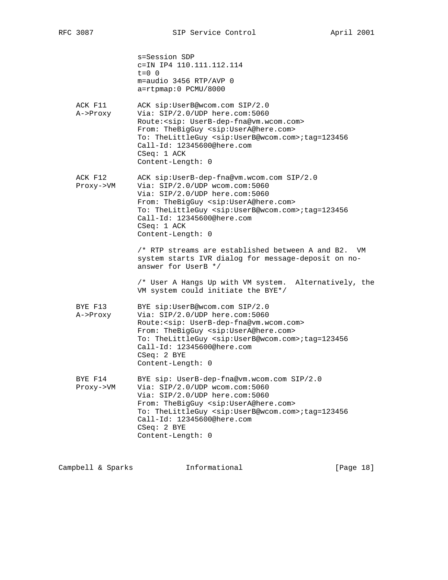|                      | s=Session SDP<br>c=IN IP4 110.111.112.114<br>$t = 0 \quad 0$<br>m=audio 3456 RTP/AVP 0<br>a=rtpmap:0 PCMU/8000                                                                                                                                                                                                                                                 |
|----------------------|----------------------------------------------------------------------------------------------------------------------------------------------------------------------------------------------------------------------------------------------------------------------------------------------------------------------------------------------------------------|
| ACK F11<br>A->Proxy  | ACK sip:UserB@wcom.com SIP/2.0<br>Via: SIP/2.0/UDP here.com:5060<br>Route: < sip: UserB-dep-fna@vm.wcom.com><br>From: TheBigGuy <sip:usera@here.com><br/>To: TheLittleGuy <sip:userb@wcom.com>;tag=123456<br/>Call-Id: 12345600@here.com<br/><math>CSeq: 1</math> ACK<br/>Content-Length: 0</sip:userb@wcom.com></sip:usera@here.com>                          |
| ACK F12<br>Proxy->VM | ACK sip:UserB-dep-fna@vm.wcom.com SIP/2.0<br>Via: SIP/2.0/UDP wcom.com:5060<br>Via: SIP/2.0/UDP here.com:5060<br>From: TheBigGuy <sip:usera@here.com><br/>To: TheLittleGuy <sip:userb@wcom.com>;tag=123456<br/>Call-Id: 12345600@here.com<br/><math>CSeq: 1</math> ACK<br/>Content-Length: 0</sip:userb@wcom.com></sip:usera@here.com>                         |
|                      | $/*$ RTP streams are established between A and B2.<br>VM<br>system starts IVR dialog for message-deposit on no-<br>answer for UserB */<br>/* User A Hangs Up with VM system. Alternatively, the                                                                                                                                                                |
| BYE F13<br>A->Proxy  | VM system could initiate the BYE*/<br>BYE sip:UserB@wcom.com SIP/2.0<br>Via: SIP/2.0/UDP here.com:5060<br>Route: < sip: UserB-dep-fna@vm.wcom.com><br>From: TheBigGuy <sip:usera@here.com><br/>To: TheLittleGuy <sip:userb@wcom.com>;tag=123456<br/>Call-Id: 12345600@here.com<br/>CSeq: 2 BYE<br/>Content-Length: 0</sip:userb@wcom.com></sip:usera@here.com> |
| BYE F14<br>Proxy->VM | BYE sip: UserB-dep-fna@vm.wcom.com SIP/2.0<br>Via: SIP/2.0/UDP wcom.com:5060<br>Via: SIP/2.0/UDP here.com:5060<br>From: TheBigGuy <sip:usera@here.com><br/>To: TheLittleGuy <sip:userb@wcom.com>;tag=123456<br/>Call-Id: 12345600@here.com<br/><math>CSeq: 2</math> BYE<br/>Content-Length: 0</sip:userb@wcom.com></sip:usera@here.com>                        |

Campbell & Sparks Informational [Page 18]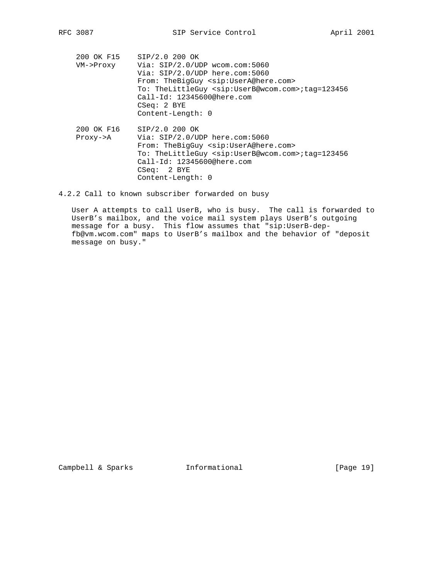200 OK F15 SIP/2.0 200 OK VM->Proxy Via: SIP/2.0/UDP wcom.com:5060 Via: SIP/2.0/UDP here.com:5060 From: TheBigGuy <sip:UserA@here.com> To: TheLittleGuy <sip:UserB@wcom.com>;tag=123456 Call-Id: 12345600@here.com CSeq: 2 BYE Content-Length: 0 200 OK F16 SIP/2.0 200 OK Proxy->A Via: SIP/2.0/UDP here.com:5060 From: TheBigGuy <sip:UserA@here.com> To: TheLittleGuy <sip:UserB@wcom.com>;tag=123456 Call-Id: 12345600@here.com

4.2.2 Call to known subscriber forwarded on busy

 CSeq: 2 BYE Content-Length: 0

 User A attempts to call UserB, who is busy. The call is forwarded to UserB's mailbox, and the voice mail system plays UserB's outgoing message for a busy. This flow assumes that "sip:UserB-dep fb@vm.wcom.com" maps to UserB's mailbox and the behavior of "deposit message on busy."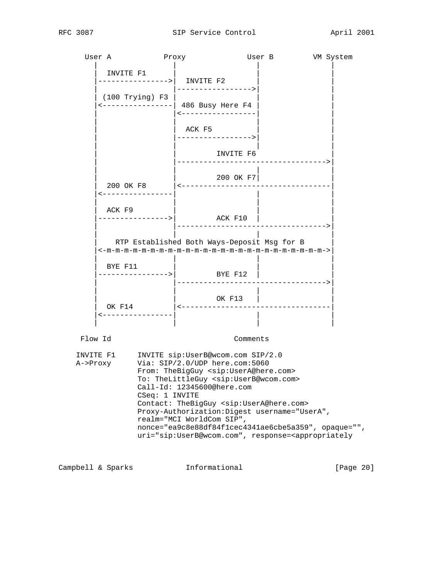| User A                | Proxy                                                      |                                                                                                                                                                                                                                                                                                                                                                                                                                                                                                                                           | User B                            | VM System |
|-----------------------|------------------------------------------------------------|-------------------------------------------------------------------------------------------------------------------------------------------------------------------------------------------------------------------------------------------------------------------------------------------------------------------------------------------------------------------------------------------------------------------------------------------------------------------------------------------------------------------------------------------|-----------------------------------|-----------|
|                       | INVITE F1<br>$--------->  $ INVITE F2<br>$(100$ Trying) F3 | ----------------><br><----------------  486 Busy Here F4<br><-----------------                                                                                                                                                                                                                                                                                                                                                                                                                                                            |                                   |           |
|                       |                                                            | ACK F5<br>---------------->                                                                                                                                                                                                                                                                                                                                                                                                                                                                                                               |                                   |           |
|                       |                                                            | INVITE F6                                                                                                                                                                                                                                                                                                                                                                                                                                                                                                                                 | ------------------------------->  |           |
|                       |                                                            | 200 OK F7<br>200 OK F8   <---------------------------------                                                                                                                                                                                                                                                                                                                                                                                                                                                                               |                                   |           |
|                       | <----------------<br>ACK F9                                | --------------->  ACK F10                                                                                                                                                                                                                                                                                                                                                                                                                                                                                                                 |                                   |           |
|                       |                                                            | RTP Established Both Ways-Deposit Msg for B                                                                                                                                                                                                                                                                                                                                                                                                                                                                                               |                                   |           |
|                       | BYE F11                                                    | ----------->  BYE F12                                                                                                                                                                                                                                                                                                                                                                                                                                                                                                                     | .-------------------------------> |           |
|                       | ----------------                                           | OK F13                                                                                                                                                                                                                                                                                                                                                                                                                                                                                                                                    |                                   |           |
|                       |                                                            |                                                                                                                                                                                                                                                                                                                                                                                                                                                                                                                                           |                                   |           |
| Flow Id               |                                                            |                                                                                                                                                                                                                                                                                                                                                                                                                                                                                                                                           | Comments                          |           |
| INVITE F1<br>A->Proxy | CSeq: 1 INVITE                                             | INVITE sip:UserB@wcom.com SIP/2.0<br>Via: SIP/2.0/UDP here.com:5060<br>From: TheBigGuy <sip:usera@here.com><br/>To: TheLittleGuy <sip:userb@wcom.com><br/>Call-Id: 12345600@here.com<br/>Contact: TheBigGuy <sip:usera@here.com><br/>Proxy-Authorization: Digest username="UserA",<br/>realm="MCI WorldCom SIP",<br/>nonce="ea9c8e88df84f1cec4341ae6cbe5a359", opaque="",<br/>uri="sip:UserB@wcom.com", response=<appropriately< td=""><td></td><td></td></appropriately<></sip:usera@here.com></sip:userb@wcom.com></sip:usera@here.com> |                                   |           |

Campbell & Sparks (Page 20)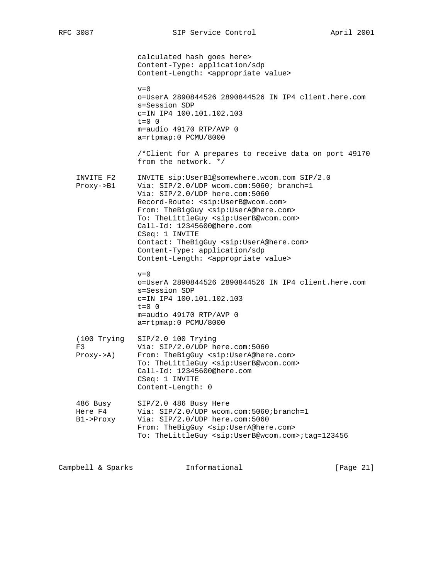calculated hash goes here> Content-Type: application/sdp Content-Length: <appropriate value>  $v=0$  o=UserA 2890844526 2890844526 IN IP4 client.here.com s=Session SDP c=IN IP4 100.101.102.103  $t=0$  0 m=audio 49170 RTP/AVP 0 a=rtpmap:0 PCMU/8000 /\*Client for A prepares to receive data on port 49170 from the network. \*/ INVITE F2 INVITE sip:UserB1@somewhere.wcom.com SIP/2.0 Proxy->B1 Via: SIP/2.0/UDP wcom.com:5060; branch=1 Via: SIP/2.0/UDP here.com:5060 Record-Route: <sip:UserB@wcom.com> From: TheBigGuy <sip:UserA@here.com> To: TheLittleGuy <sip:UserB@wcom.com> Call-Id: 12345600@here.com CSeq: 1 INVITE Contact: TheBigGuy <sip:UserA@here.com> Content-Type: application/sdp Content-Length: <appropriate value>  $v=0$  o=UserA 2890844526 2890844526 IN IP4 client.here.com s=Session SDP c=IN IP4 100.101.102.103 t=0 0 m=audio 49170 RTP/AVP 0 a=rtpmap:0 PCMU/8000 (100 Trying SIP/2.0 100 Trying F3 Via: SIP/2.0/UDP here.com:5060 Proxy->A) From: TheBigGuy <sip:UserA@here.com> To: TheLittleGuy <sip:UserB@wcom.com> Call-Id: 12345600@here.com CSeq: 1 INVITE Content-Length: 0 486 Busy SIP/2.0 486 Busy Here<br>Wist SIP/2.0 (UPD usem Here F4 Via: SIP/2.0/UDP wcom.com:5060;branch=1 B1->Proxy Via: SIP/2.0/UDP here.com:5060 From: TheBigGuy <sip:UserA@here.com> To: TheLittleGuy <sip:UserB@wcom.com>;tag=123456

Campbell & Sparks Informational [Page 21]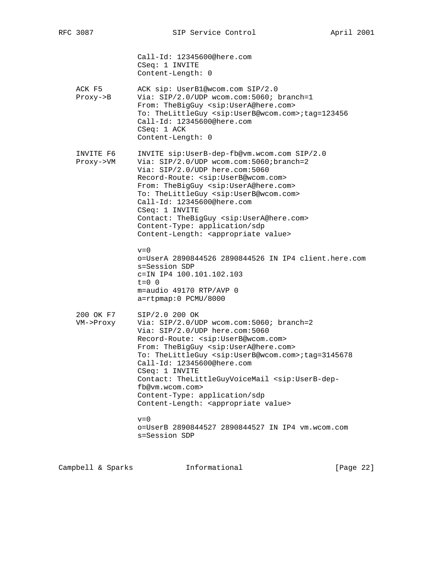Call-Id: 12345600@here.com CSeq: 1 INVITE Content-Length: 0 ACK F5 ACK sip: UserB1@wcom.com SIP/2.0 Proxy->B Via: SIP/2.0/UDP wcom.com:5060; branch=1 From: TheBigGuy <sip:UserA@here.com> To: TheLittleGuy <sip:UserB@wcom.com>;tag=123456 Call-Id: 12345600@here.com CSeq: 1 ACK Content-Length: 0 INVITE F6 INVITE sip:UserB-dep-fb@vm.wcom.com SIP/2.0 Proxy->VM Via: SIP/2.0/UDP wcom.com:5060;branch=2 Via: SIP/2.0/UDP here.com:5060 Record-Route: <sip:UserB@wcom.com> From: TheBigGuy <sip:UserA@here.com> To: TheLittleGuy <sip:UserB@wcom.com> Call-Id: 12345600@here.com CSeq: 1 INVITE Contact: TheBigGuy <sip:UserA@here.com> Content-Type: application/sdp Content-Length: <appropriate value>  $v=0$  o=UserA 2890844526 2890844526 IN IP4 client.here.com s=Session SDP c=IN IP4 100.101.102.103  $t=0$  0 m=audio 49170 RTP/AVP 0 a=rtpmap:0 PCMU/8000 200 OK F7 SIP/2.0 200 OK VM->Proxy Via: SIP/2.0/UDP wcom.com:5060; branch=2 Via: SIP/2.0/UDP here.com:5060 Record-Route: <sip:UserB@wcom.com> From: TheBigGuy <sip:UserA@here.com> To: TheLittleGuy <sip:UserB@wcom.com>;tag=3145678 Call-Id: 12345600@here.com CSeq: 1 INVITE Contact: TheLittleGuyVoiceMail <sip:UserB-dep fb@vm.wcom.com> Content-Type: application/sdp Content-Length: <appropriate value>  $v=0$  o=UserB 2890844527 2890844527 IN IP4 vm.wcom.com s=Session SDP

Campbell & Sparks Informational [Page 22]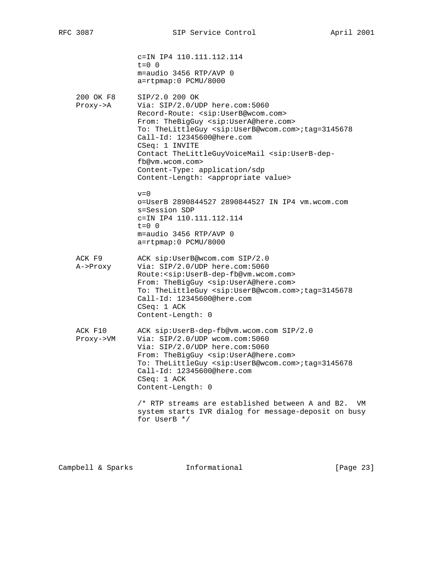|                                    | c=IN IP4 110.111.112.114<br>$t = 0 0$<br>m=audio 3456 RTP/AVP 0<br>a=rtpmap:0 PCMU/8000                                                                                                                                                                                                                                                                                                                                                                                     |
|------------------------------------|-----------------------------------------------------------------------------------------------------------------------------------------------------------------------------------------------------------------------------------------------------------------------------------------------------------------------------------------------------------------------------------------------------------------------------------------------------------------------------|
| 200 OK F8<br>$Proxy \rightarrow A$ | SIP/2.0 200 OK<br>Via: $SIP/2.0/UDP$ here.com:5060<br>Record-Route: < sip: UserB@wcom.com><br>From: TheBigGuy <sip:usera@here.com><br/>To: TheLittleGuy <sip:userb@wcom.com>;tag=3145678<br/>Call-Id: 12345600@here.com<br/>CSeq: 1 INVITE<br/>Contact TheLittleGuyVoiceMail <sip:userb-dep-<br>fb@vm.wcom.com&gt;<br/>Content-Type: application/sdp<br/>Content-Length: <appropriate value=""></appropriate></sip:userb-dep-<br></sip:userb@wcom.com></sip:usera@here.com> |
|                                    | $v = 0$<br>o=UserB 2890844527 2890844527 IN IP4 vm.wcom.com<br>s=Session SDP<br>c=IN IP4 110.111.112.114<br>$t = 0 \quad 0$<br>$m = audio$ 3456 RTP/AVP 0<br>a=rtpmap:0 PCMU/8000                                                                                                                                                                                                                                                                                           |
| ACK F9<br>A->Proxy                 | ACK sip:UserB@wcom.com SIP/2.0<br>Via: SIP/2.0/UDP here.com:5060<br>Route: <sip:userb-dep-fb@vm.wcom.com><br/>From: TheBigGuy <sip:usera@here.com><br/>To: TheLittleGuy <sip:userb@wcom.com>;taq=3145678<br/>Call-Id: 12345600@here.com<br/>CSeq: 1 ACK<br/>Content-Length: 0</sip:userb@wcom.com></sip:usera@here.com></sip:userb-dep-fb@vm.wcom.com>                                                                                                                      |
| ACK F10<br>Proxy->VM               | ACK sip:UserB-dep-fb@vm.wcom.com SIP/2.0<br>Via: $SIP/2.0/UDP$ wcom.com:5060<br>Via: SIP/2.0/UDP here.com:5060<br>From: TheBigGuy <sip:usera@here.com><br/>To: TheLittleGuy <sip:userb@wcom.com>;tag=3145678<br/>Call-Id: 12345600@here.com<br/><math>CSeq: 1</math> ACK<br/>Content-Length: 0</sip:userb@wcom.com></sip:usera@here.com>                                                                                                                                    |
|                                    | $\prime$ * RTP streams are established between A and B2.<br>VM<br>system starts IVR dialog for message-deposit on busy<br>for UserB */                                                                                                                                                                                                                                                                                                                                      |

Campbell & Sparks Informational [Page 23]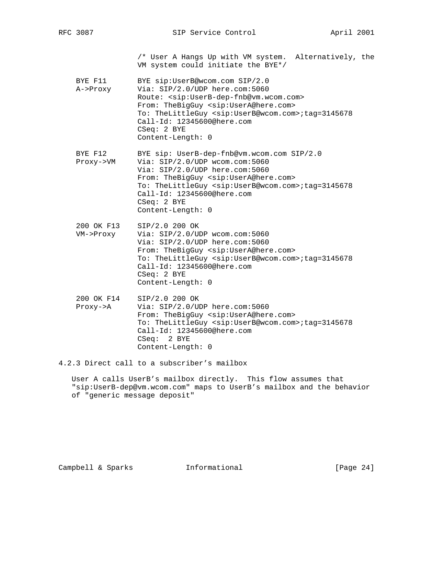/\* User A Hangs Up with VM system. Alternatively, the VM system could initiate the BYE\*/

- BYE F11 BYE sip:UserB@wcom.com SIP/2.0 A->Proxy Via: SIP/2.0/UDP here.com:5060 Route: <sip:UserB-dep-fnb@vm.wcom.com> From: TheBigGuy <sip:UserA@here.com> To: TheLittleGuy <sip:UserB@wcom.com>;tag=3145678 Call-Id: 12345600@here.com CSeq: 2 BYE Content-Length: 0
- BYE F12 BYE sip: UserB-dep-fnb@vm.wcom.com SIP/2.0 Proxy->VM Via: SIP/2.0/UDP wcom.com:5060 Via: SIP/2.0/UDP here.com:5060 From: TheBigGuy <sip:UserA@here.com> To: TheLittleGuy <sip:UserB@wcom.com>;tag=3145678 Call-Id: 12345600@here.com CSeq: 2 BYE Content-Length: 0
- 200 OK F13 SIP/2.0 200 OK VM->Proxy Via: SIP/2.0/UDP wcom.com:5060 Via: SIP/2.0/UDP here.com:5060 From: TheBigGuy <sip:UserA@here.com> To: TheLittleGuy <sip:UserB@wcom.com>;tag=3145678 Call-Id: 12345600@here.com CSeq: 2 BYE Content-Length: 0
- 200 OK F14 SIP/2.0 200 OK Proxy->A Via: SIP/2.0/UDP here.com:5060 From: TheBigGuy <sip:UserA@here.com> To: TheLittleGuy <sip:UserB@wcom.com>;tag=3145678 Call-Id: 12345600@here.com CSeq: 2 BYE Content-Length: 0

4.2.3 Direct call to a subscriber's mailbox

 User A calls UserB's mailbox directly. This flow assumes that "sip:UserB-dep@vm.wcom.com" maps to UserB's mailbox and the behavior of "generic message deposit"

Campbell & Sparks Informational [Page 24]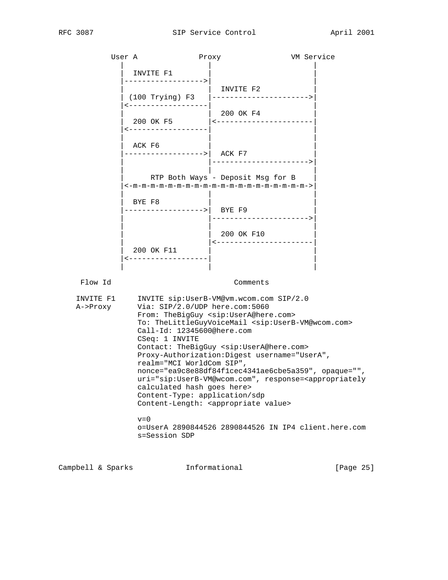|                       | User A                                                                                                                                                                     | Proxy                                                                                                                                                                                                                                                                                                                                                                                                                                                      | VM Service |
|-----------------------|----------------------------------------------------------------------------------------------------------------------------------------------------------------------------|------------------------------------------------------------------------------------------------------------------------------------------------------------------------------------------------------------------------------------------------------------------------------------------------------------------------------------------------------------------------------------------------------------------------------------------------------------|------------|
|                       | INVITE F1<br>----------------->                                                                                                                                            | INVITE F2                                                                                                                                                                                                                                                                                                                                                                                                                                                  |            |
|                       | -------------------<br>------------------                                                                                                                                  | 200 OK F4<br>200 OK F5   <----------------------                                                                                                                                                                                                                                                                                                                                                                                                           |            |
|                       | ACK F6<br>----------------->  ACK F7                                                                                                                                       | ---------------------->                                                                                                                                                                                                                                                                                                                                                                                                                                    |            |
|                       |                                                                                                                                                                            | RTP Both Ways - Deposit Msg for B<br>$\le -m-m-m-m-m-m-m-m-m-m-m-m-m-m-m-m-m-m-m-m-\infty$                                                                                                                                                                                                                                                                                                                                                                 |            |
|                       | BYE F8<br>---------------->  BYEF9                                                                                                                                         | --------------------->                                                                                                                                                                                                                                                                                                                                                                                                                                     |            |
|                       | 200 OK F11<br><-------------------                                                                                                                                         | 200 OK F10<br><-----------------------                                                                                                                                                                                                                                                                                                                                                                                                                     |            |
| Flow Id               |                                                                                                                                                                            | Comments                                                                                                                                                                                                                                                                                                                                                                                                                                                   |            |
| INVITE F1<br>A->Proxy | Via: SIP/2.0/UDP here.com:5060<br>Call-Id: 12345600@here.com<br>CSeq: 1 INVITE<br>realm="MCI WorldCom SIP",<br>calculated hash goes here><br>Content-Type: application/sdp | INVITE sip: UserB-VM@vm.wcom.com SIP/2.0<br>From: TheBigGuy <sip:usera@here.com><br/>To: TheLittleGuyVoiceMail <sip:userb-vm@wcom.com><br/>Contact: TheBigGuy <sip:usera@here.com><br/>Proxy-Authorization: Digest username="UserA",<br/>nonce="ea9c8e88df84f1cec4341ae6cbe5a359", opaque="",<br/>uri="sip:UserB-VM@wcom.com", response=<appropriately< td=""><td></td></appropriately<></sip:usera@here.com></sip:userb-vm@wcom.com></sip:usera@here.com> |            |

 $v=0$  o=UserA 2890844526 2890844526 IN IP4 client.here.com s=Session SDP

Campbell & Sparks **Informational** [Page 25]

Content-Length: <appropriate value>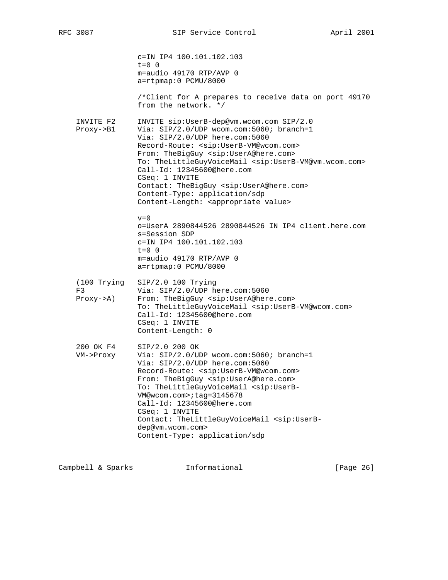|                                               | c=IN IP4 100.101.102.103<br>$t = 0$ 0<br>m=audio 49170 RTP/AVP 0<br>a=rtpmap:0 PCMU/8000<br>/*Client for A prepares to receive data on port 49170<br>from the network. */                                                                                                                                                                                                                                                                                                                                                                               |
|-----------------------------------------------|---------------------------------------------------------------------------------------------------------------------------------------------------------------------------------------------------------------------------------------------------------------------------------------------------------------------------------------------------------------------------------------------------------------------------------------------------------------------------------------------------------------------------------------------------------|
| INVITE F2<br>$Proxy \rightarrow B1$           | INVITE sip:UserB-dep@vm.wcom.com SIP/2.0<br>Via: SIP/2.0/UDP wcom.com:5060; branch=1<br>Via: SIP/2.0/UDP here.com:5060<br>Record-Route: <sip:userb-vm@wcom.com><br/>From: TheBigGuy <sip:usera@here.com><br/>To: TheLittleGuyVoiceMail <sip:userb-vm@vm.wcom.com><br/>Call-Id: 12345600@here.com<br/>CSeq: 1 INVITE<br/>Contact: TheBigGuy <sip:usera@here.com><br/>Content-Type: application/sdp<br/>Content-Length: <appropriate value=""></appropriate></sip:usera@here.com></sip:userb-vm@vm.wcom.com></sip:usera@here.com></sip:userb-vm@wcom.com> |
|                                               | $v = 0$<br>o=UserA 2890844526 2890844526 IN IP4 client.here.com<br>s=Session SDP<br>c=IN IP4 100.101.102.103<br>$t = 0 \quad 0$<br>$m = audio$ 49170 RTP/AVP 0<br>a=rtpmap:0 PCMU/8000                                                                                                                                                                                                                                                                                                                                                                  |
| $(100$ Trying<br>F3<br>$Proxy \rightarrow A)$ | $SIP/2.0 100$ Trying<br>Via: SIP/2.0/UDP here.com:5060<br>From: TheBigGuy <sip:usera@here.com><br/>To: TheLittleGuyVoiceMail <sip:userb-vm@wcom.com><br/>Call-Id: 12345600@here.com<br/>CSeq: 1 INVITE<br/>Content-Length: 0</sip:userb-vm@wcom.com></sip:usera@here.com>                                                                                                                                                                                                                                                                               |
| 200 OK F4<br>VM->Proxy                        | SIP/2.0 200 OK<br>Via: SIP/2.0/UDP wcom.com:5060; branch=1<br>Via: SIP/2.0/UDP here.com:5060<br>Record-Route: <sip:userb-vm@wcom.com><br/>From: TheBigGuy <sip:usera@here.com><br/>To: TheLittleGuyVoiceMail <sip:userb-<br>VM@wcom.com&gt;;tag=3145678<br/>Call-Id: 12345600@here.com<br/>CSeq: 1 INVITE<br/>Contact: TheLittleGuyVoiceMail <sip:userb-<br>dep@vm.wcom.com&gt;<br/>Content-Type: application/sdp</sip:userb-<br></sip:userb-<br></sip:usera@here.com></sip:userb-vm@wcom.com>                                                          |

Campbell & Sparks Informational [Page 26]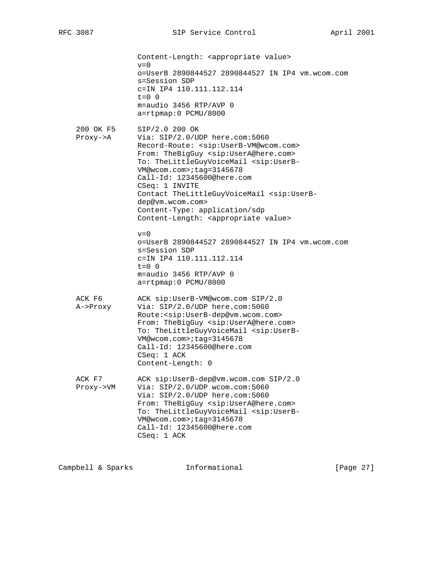Content-Length: <appropriate value>  $v=0$  o=UserB 2890844527 2890844527 IN IP4 vm.wcom.com s=Session SDP c=IN IP4 110.111.112.114  $t=0$  0 m=audio 3456 RTP/AVP 0 a=rtpmap:0 PCMU/8000 200 OK F5 SIP/2.0 200 OK Proxy->A Via: SIP/2.0/UDP here.com:5060 Record-Route: <sip:UserB-VM@wcom.com> From: TheBigGuy <sip:UserA@here.com> To: TheLittleGuyVoiceMail <sip:UserB- VM@wcom.com>;tag=3145678 Call-Id: 12345600@here.com CSeq: 1 INVITE Contact TheLittleGuyVoiceMail <sip:UserB dep@vm.wcom.com> Content-Type: application/sdp Content-Length: <appropriate value>  $v=0$  o=UserB 2890844527 2890844527 IN IP4 vm.wcom.com s=Session SDP c=IN IP4 110.111.112.114  $t=0$  0 m=audio 3456 RTP/AVP 0 a=rtpmap:0 PCMU/8000 ACK F6 ACK sip:UserB-VM@wcom.com SIP/2.0 A->Proxy Via: SIP/2.0/UDP here.com:5060 Route:<sip:UserB-dep@vm.wcom.com> From: TheBigGuy <sip:UserA@here.com> To: TheLittleGuyVoiceMail <sip:UserB- VM@wcom.com>;tag=3145678 Call-Id: 12345600@here.com CSeq: 1 ACK Content-Length: 0 ACK F7 ACK sip:UserB-dep@vm.wcom.com SIP/2.0 Proxy->VM Via: SIP/2.0/UDP wcom.com:5060 Via: SIP/2.0/UDP here.com:5060 From: TheBigGuy <sip:UserA@here.com> To: TheLittleGuyVoiceMail <sip:UserB- VM@wcom.com>;tag=3145678 Call-Id: 12345600@here.com CSeq: 1 ACK

Campbell & Sparks **Informational** [Page 27]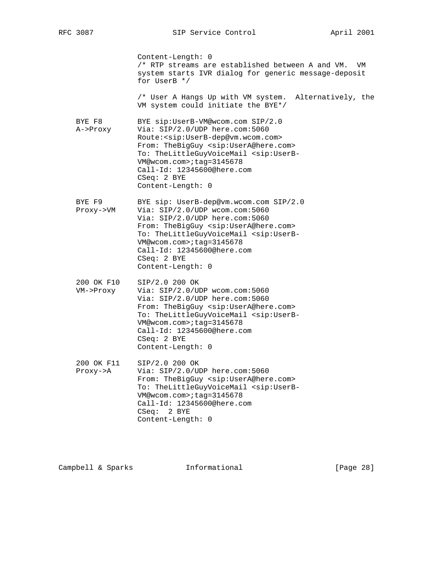|                         | Content-Length: 0<br>/* RTP streams are established between A and VM.<br>VM<br>system starts IVR dialog for generic message-deposit<br>for UserB */                                                                                                                                                                                                                            |
|-------------------------|--------------------------------------------------------------------------------------------------------------------------------------------------------------------------------------------------------------------------------------------------------------------------------------------------------------------------------------------------------------------------------|
|                         | /* User A Hangs Up with VM system. Alternatively, the<br>VM system could initiate the BYE*/                                                                                                                                                                                                                                                                                    |
| BYE F8<br>A->Proxy      | BYE sip:UserB-VM@wcom.com SIP/2.0<br>Via: SIP/2.0/UDP here.com:5060<br>Route: <sip:userb-dep@vm.wcom.com><br/>From: TheBigGuy <sip:usera@here.com><br/>To: TheLittleGuyVoiceMail <sip:userb-<br>VM@wcom.com&gt;;tag=3145678<br/>Call-Id: 12345600@here.com<br/><math>CSeq: 2</math> BYE<br/>Content-Length: 0</sip:userb-<br></sip:usera@here.com></sip:userb-dep@vm.wcom.com> |
| BYE F9<br>Proxy->VM     | BYE sip: UserB-dep@vm.wcom.com SIP/2.0<br>Via: SIP/2.0/UDP wcom.com:5060<br>Via: SIP/2.0/UDP here.com:5060<br>From: TheBigGuy <sip:usera@here.com><br/>To: TheLittleGuyVoiceMail <sip:userb-<br>VM@wcom.com&gt;;taq=3145678<br/>Call-Id: 12345600@here.com<br/><math>CSeq: 2</math> BYE<br/>Content-Length: 0</sip:userb-<br></sip:usera@here.com>                             |
| 200 OK F10<br>VM->Proxy | SIP/2.0 200 OK<br>Via: SIP/2.0/UDP wcom.com:5060<br>Via: $SIP/2.0/UDP$ here.com:5060<br>From: TheBigGuy <sip:usera@here.com><br/>To: TheLittleGuyVoiceMail <sip:userb-<br>VM@wcom.com&gt;;taq=3145678<br/>Call-Id: 12345600@here.com<br/><math>CSeq: 2</math> BYE<br/>Content-Length: 0</sip:userb-<br></sip:usera@here.com>                                                   |
| 200 OK F11<br>Proxy->A  | SIP/2.0 200 OK<br>Via: SIP/2.0/UDP here.com:5060<br>From: TheBigGuy <sip:usera@here.com><br/>To: TheLittleGuyVoiceMail <sip:userb-<br>VM@wcom.com&gt;;tag=3145678<br/>Call-Id: 12345600@here.com<br/>CSeq: 2 BYE<br/>Content-Length: 0</sip:userb-<br></sip:usera@here.com>                                                                                                    |

Campbell & Sparks Informational [Page 28]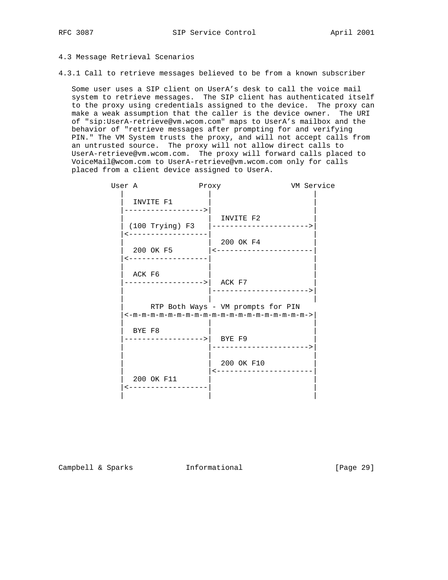# 4.3 Message Retrieval Scenarios

4.3.1 Call to retrieve messages believed to be from a known subscriber

 Some user uses a SIP client on UserA's desk to call the voice mail system to retrieve messages. The SIP client has authenticated itself to the proxy using credentials assigned to the device. The proxy can make a weak assumption that the caller is the device owner. The URI of "sip:UserA-retrieve@vm.wcom.com" maps to UserA's mailbox and the behavior of "retrieve messages after prompting for and verifying PIN." The VM System trusts the proxy, and will not accept calls from an untrusted source. The proxy will not allow direct calls to UserA-retrieve@vm.wcom.com. The proxy will forward calls placed to VoiceMail@wcom.com to UserA-retrieve@vm.wcom.com only for calls placed from a client device assigned to UserA.

| User A                                | Proxy                                | VM Service |
|---------------------------------------|--------------------------------------|------------|
| INVITE F1<br>-------------->          |                                      |            |
| $(100$ Trying) F3                     | INVITE F2<br>----------------------> |            |
| 200 OK F5<br>------------------       | 200 OK F4<br>$ $ <-----------------  |            |
| ACK F6<br>------------------>  ACK F7 |                                      |            |
|                                       | RTP Both Ways - VM prompts for PIN   |            |
| BYE F8<br>------------------>  BYEF9  | ---------------------->              |            |
|                                       | 200 OK F10<br>---------------------- |            |
| 200 OK F11                            |                                      |            |

Campbell & Sparks Informational [Page 29]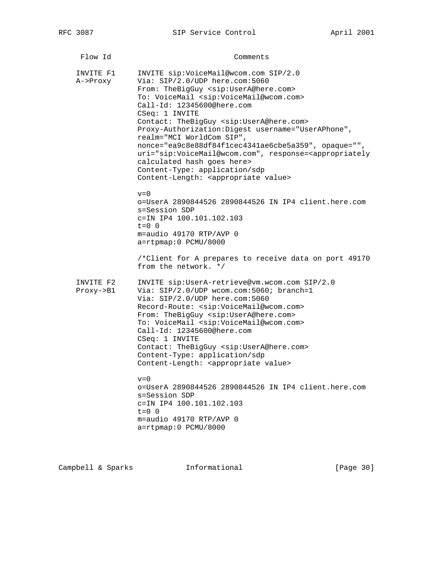| Flow Id                             | Comments                                                                                                                                                                                                                                                                                                                                                                                                                                                                                                                                                                                                                                                                                                  |
|-------------------------------------|-----------------------------------------------------------------------------------------------------------------------------------------------------------------------------------------------------------------------------------------------------------------------------------------------------------------------------------------------------------------------------------------------------------------------------------------------------------------------------------------------------------------------------------------------------------------------------------------------------------------------------------------------------------------------------------------------------------|
| INVITE F1<br>A->Proxy               | INVITE sip:VoiceMail@wcom.com SIP/2.0<br>Via: SIP/2.0/UDP here.com:5060<br>From: TheBigGuy <sip:usera@here.com><br/>To: VoiceMail <sip:voicemail@wcom.com><br/>Call-Id: 12345600@here.com<br/>CSeq: 1 INVITE<br/>Contact: TheBigGuy <sip:usera@here.com><br/>Proxy-Authorization: Digest username="UserAPhone",<br/>realm="MCI WorldCom SIP",<br/>nonce="ea9c8e88df84f1cec4341ae6cbe5a359", opaque="",<br/>uri="sip:VoiceMail@wcom.com", response=<appropriately<br>calculated hash goes here&gt;<br/>Content-Type: application/sdp<br/>Content-Length: <appropriate value=""><br/><math>v = 0</math></appropriate></appropriately<br></sip:usera@here.com></sip:voicemail@wcom.com></sip:usera@here.com> |
|                                     | o=UserA 2890844526 2890844526 IN IP4 client.here.com<br>s=Session SDP<br>c=IN IP4 100.101.102.103<br>$t = 0 \quad 0$<br>m=audio 49170 RTP/AVP 0<br>a=rtpmap:0 PCMU/8000<br>/*Client for A prepares to receive data on port 49170<br>from the network. */                                                                                                                                                                                                                                                                                                                                                                                                                                                  |
| INVITE F2<br>$Proxy \rightarrow B1$ | INVITE sip:UserA-retrieve@vm.wcom.com SIP/2.0<br>Via: SIP/2.0/UDP wcom.com:5060; branch=1<br>Via: SIP/2.0/UDP here.com:5060<br>Record-Route: <sip:voicemail@wcom.com><br/>From: TheBigGuy <sip:usera@here.com><br/>To: VoiceMail <sip:voicemail@wcom.com><br/>Call-Id: 12345600@here.com<br/>CSeq: 1 INVITE<br/>Contact: TheBigGuy <sip:usera@here.com><br/>Content-Type: application/sdp<br/>Content-Length: <appropriate value=""></appropriate></sip:usera@here.com></sip:voicemail@wcom.com></sip:usera@here.com></sip:voicemail@wcom.com>                                                                                                                                                            |
|                                     | $v=0$<br>o=UserA 2890844526 2890844526 IN IP4 client.here.com<br>s=Session SDP<br>c=IN IP4 100.101.102.103<br>$t=0$ 0<br>m=audio 49170 RTP/AVP 0<br>a=rtpmap:0 PCMU/8000                                                                                                                                                                                                                                                                                                                                                                                                                                                                                                                                  |

Campbell & Sparks Informational [Page 30]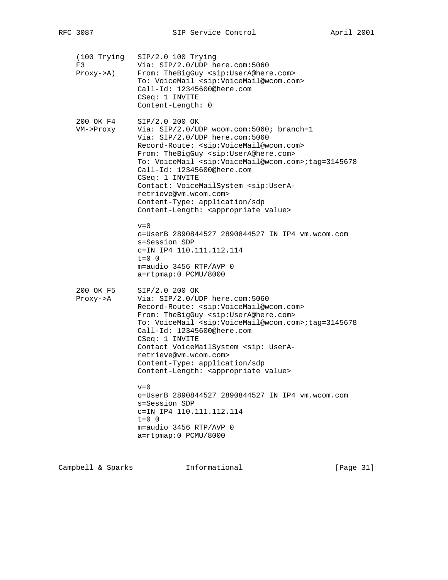| (100 Trying<br>F3<br>$Proxy \rightarrow A$ ) | $SIP/2.0 100$ Trying<br>Via: SIP/2.0/UDP here.com:5060<br>From: TheBigGuy <sip:usera@here.com><br/>To: VoiceMail <sip:voicemail@wcom.com><br/>Call-Id: 12345600@here.com<br/>CSeq: 1 INVITE<br/>Content-Length: 0</sip:voicemail@wcom.com></sip:usera@here.com>                                                                                                                                                                                                                                                                                 |
|----------------------------------------------|-------------------------------------------------------------------------------------------------------------------------------------------------------------------------------------------------------------------------------------------------------------------------------------------------------------------------------------------------------------------------------------------------------------------------------------------------------------------------------------------------------------------------------------------------|
| 200 OK F4<br>VM->Proxy                       | SIP/2.0 200 OK<br>Via: SIP/2.0/UDP wcom.com:5060; branch=1<br>Via: SIP/2.0/UDP here.com:5060<br>Record-Route: <sip:voicemail@wcom.com><br/>From: TheBigGuy <sip:usera@here.com><br/>To: VoiceMail <sip:voicemail@wcom.com>;tag=3145678<br/>Call-Id: 12345600@here.com<br/>CSeq: 1 INVITE<br/>Contact: VoiceMailSystem <sip:usera-<br>retrieve@vm.wcom.com&gt;<br/>Content-Type: application/sdp<br/>Content-Length: <appropriate value=""></appropriate></sip:usera-<br></sip:voicemail@wcom.com></sip:usera@here.com></sip:voicemail@wcom.com> |
|                                              | $v = 0$<br>o=UserB 2890844527 2890844527 IN IP4 vm.wcom.com<br>s=Session SDP<br>c=IN IP4 110.111.112.114<br>$t=0$ 0<br>m=audio 3456 RTP/AVP 0<br>a=rtpmap:0 PCMU/8000                                                                                                                                                                                                                                                                                                                                                                           |
| 200 OK F5<br>$Proxy \rightarrow A$           | SIP/2.0 200 OK<br>Via: SIP/2.0/UDP here.com:5060<br>Record-Route: <sip:voicemail@wcom.com><br/>From: TheBigGuy <sip:usera@here.com><br/>To: VoiceMail <sip:voicemail@wcom.com>;tag=3145678<br/>Call-Id: 12345600@here.com<br/>CSeq: 1 INVITE<br/>Contact VoiceMailSystem <sip: usera-<br="">retrieve@vm.wcom.com&gt;<br/>Content-Type: application/sdp<br/>Content-Length: <appropriate value=""></appropriate></sip:></sip:voicemail@wcom.com></sip:usera@here.com></sip:voicemail@wcom.com>                                                   |
|                                              | $v = 0$<br>o=UserB 2890844527 2890844527 IN IP4 vm.wcom.com<br>s=Session SDP<br>c=IN IP4 110.111.112.114<br>$t=0$ 0<br>m=audio 3456 RTP/AVP 0<br>a=rtpmap:0 PCMU/8000                                                                                                                                                                                                                                                                                                                                                                           |

Campbell & Sparks Informational [Page 31]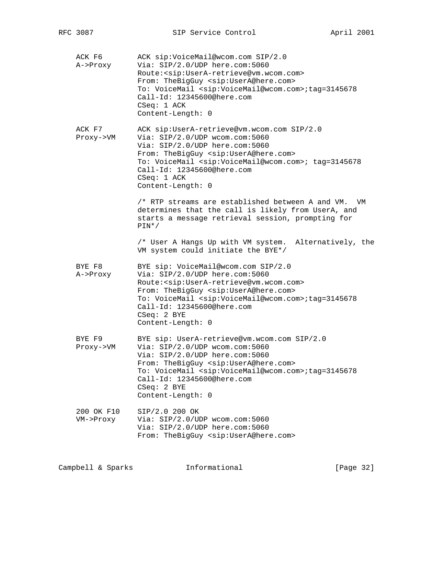| ACK F6<br>A->Proxy      | ACK sip:VoiceMail@wcom.com SIP/2.0<br>Via: SIP/2.0/UDP here.com:5060<br>Route: < sip: UserA-retrieve@vm.wcom.com><br>From: TheBigGuy <sip:usera@here.com><br/>To: VoiceMail <sip:voicemail@wcom.com>;tag=3145678<br/>Call-Id: 12345600@here.com<br/>CSeq: 1 ACK<br/>Content-Length: 0</sip:voicemail@wcom.com></sip:usera@here.com>            |
|-------------------------|------------------------------------------------------------------------------------------------------------------------------------------------------------------------------------------------------------------------------------------------------------------------------------------------------------------------------------------------|
| ACK F7<br>Proxy->VM     | ACK sip:UserA-retrieve@vm.wcom.com SIP/2.0<br>Via: SIP/2.0/UDP wcom.com:5060<br>Via: SIP/2.0/UDP here.com:5060<br>From: TheBigGuy <sip:usera@here.com><br/>To: VoiceMail <sip:voicemail@wcom.com>; tag=3145678<br/>Call-Id: 12345600@here.com<br/>CSeq: 1 ACK<br/>Content-Length: 0</sip:voicemail@wcom.com></sip:usera@here.com>              |
|                         | $\prime$ * RTP streams are established between A and VM.<br>VM<br>determines that the call is likely from UserA, and<br>starts a message retrieval session, prompting for<br>$PIN^*/$                                                                                                                                                          |
|                         | /* User A Hangs Up with VM system.<br>Alternatively, the<br>VM system could initiate the BYE*/                                                                                                                                                                                                                                                 |
| BYE F8<br>A->Proxy      | BYE sip: VoiceMail@wcom.com SIP/2.0<br>Via: SIP/2.0/UDP here.com:5060<br>Route: < sip: UserA-retrieve@vm.wcom.com><br>From: TheBigGuy <sip:usera@here.com><br/>To: VoiceMail <sip:voicemail@wcom.com>;tag=3145678<br/>Call-Id: 12345600@here.com<br/>CSeq: 2 BYE<br/>Content-Length: 0</sip:voicemail@wcom.com></sip:usera@here.com>           |
| BYE F9<br>Proxy->VM     | BYE sip: UserA-retrieve@vm.wcom.com SIP/2.0<br>Via: SIP/2.0/UDP wcom.com:5060<br>Via: SIP/2.0/UDP here.com:5060<br>From: TheBigGuy <sip:usera@here.com><br/>To: VoiceMail <sip:voicemail@wcom.com>;taq=3145678<br/>Call-Id: 12345600@here.com<br/><math>CSeq: 2</math> BYE<br/>Content-Length: 0</sip:voicemail@wcom.com></sip:usera@here.com> |
| 200 OK F10<br>VM->Proxy | SIP/2.0 200 OK<br>Via: SIP/2.0/UDP wcom.com:5060<br>Via: SIP/2.0/UDP here.com:5060<br>From: TheBigGuy <sip:usera@here.com></sip:usera@here.com>                                                                                                                                                                                                |
|                         |                                                                                                                                                                                                                                                                                                                                                |

Campbell & Sparks Informational [Page 32]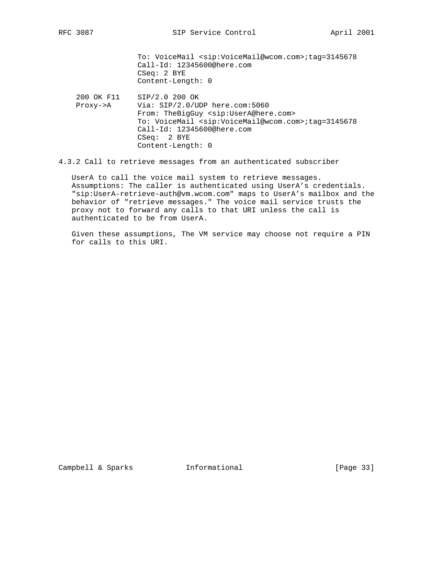To: VoiceMail <sip:VoiceMail@wcom.com>;tag=3145678 Call-Id: 12345600@here.com CSeq: 2 BYE Content-Length: 0

- 200 OK F11 SIP/2.0 200 OK Proxy->A Via: SIP/2.0/UDP here.com:5060 From: TheBigGuy <sip:UserA@here.com> To: VoiceMail <sip:VoiceMail@wcom.com>;tag=3145678 Call-Id: 12345600@here.com CSeq: 2 BYE Content-Length: 0
- 4.3.2 Call to retrieve messages from an authenticated subscriber

 UserA to call the voice mail system to retrieve messages. Assumptions: The caller is authenticated using UserA's credentials. "sip:UserA-retrieve-auth@vm.wcom.com" maps to UserA's mailbox and the behavior of "retrieve messages." The voice mail service trusts the proxy not to forward any calls to that URI unless the call is authenticated to be from UserA.

 Given these assumptions, The VM service may choose not require a PIN for calls to this URI.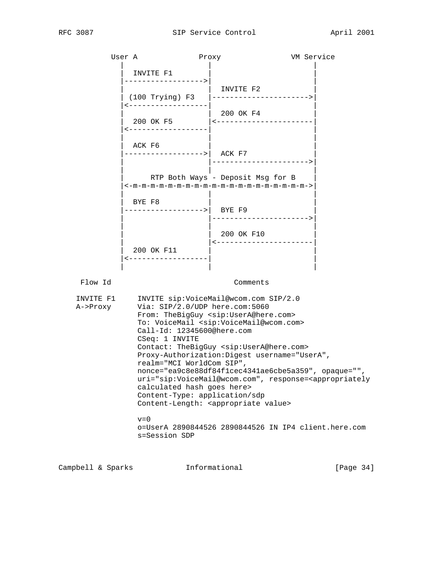|                       | User A                                                                                                                                                                                                                                                                                                                                                                                                                                                                                                                                                  | Proxy                                  | VM Service |
|-----------------------|---------------------------------------------------------------------------------------------------------------------------------------------------------------------------------------------------------------------------------------------------------------------------------------------------------------------------------------------------------------------------------------------------------------------------------------------------------------------------------------------------------------------------------------------------------|----------------------------------------|------------|
|                       | INVITE F1<br>----------------->                                                                                                                                                                                                                                                                                                                                                                                                                                                                                                                         |                                        |            |
|                       |                                                                                                                                                                                                                                                                                                                                                                                                                                                                                                                                                         | INVITE F2                              |            |
|                       | ------------------                                                                                                                                                                                                                                                                                                                                                                                                                                                                                                                                      | 200 OK F4                              |            |
|                       | <-------------------                                                                                                                                                                                                                                                                                                                                                                                                                                                                                                                                    | 200 OK F5   <----------------------    |            |
|                       | ACK F6<br>------------------>  ACK F7                                                                                                                                                                                                                                                                                                                                                                                                                                                                                                                   | ---------------------->                |            |
|                       |                                                                                                                                                                                                                                                                                                                                                                                                                                                                                                                                                         | RTP Both Ways - Deposit Msg for B      |            |
|                       | BYE F8<br>------------->  BYE F9                                                                                                                                                                                                                                                                                                                                                                                                                                                                                                                        |                                        |            |
|                       |                                                                                                                                                                                                                                                                                                                                                                                                                                                                                                                                                         | 200 OK F10<br><----------------------- |            |
|                       | 200 OK F11<br>------------------                                                                                                                                                                                                                                                                                                                                                                                                                                                                                                                        |                                        |            |
|                       |                                                                                                                                                                                                                                                                                                                                                                                                                                                                                                                                                         |                                        |            |
| Flow Id               |                                                                                                                                                                                                                                                                                                                                                                                                                                                                                                                                                         | Comments                               |            |
| INVITE F1<br>A->Proxy | INVITE sip:VoiceMail@wcom.com SIP/2.0<br>Via: SIP/2.0/UDP here.com:5060<br>From: TheBigGuy <sip:usera@here.com><br/>To: VoiceMail <sip:voicemail@wcom.com><br/>Call-Id: 12345600@here.com<br/>CSeq: 1 INVITE<br/>Contact: TheBigGuy <sip:usera@here.com><br/>Proxy-Authorization: Digest username="UserA",<br/>realm="MCI WorldCom SIP",<br/>nonce="ea9c8e88df84f1cec4341ae6cbe5a359", opaque="",<br/>uri="sip:VoiceMail@wcom.com", response=<appropriately< td=""></appropriately<></sip:usera@here.com></sip:voicemail@wcom.com></sip:usera@here.com> |                                        |            |
|                       | calculated hash goes here>                                                                                                                                                                                                                                                                                                                                                                                                                                                                                                                              |                                        |            |

 $v=0$  o=UserA 2890844526 2890844526 IN IP4 client.here.com s=Session SDP

Campbell & Sparks **Informational** [Page 34]

Content-Length: <appropriate value>

Content-Type: application/sdp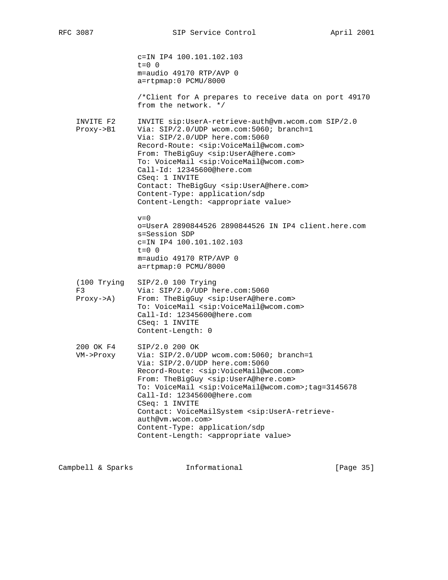|                                             | c=IN IP4 100.101.102.103<br>$t = 0$ 0<br>m=audio 49170 RTP/AVP 0<br>a=rtpmap:0 PCMU/8000<br>/*Client for A prepares to receive data on port 49170<br>from the network, */                                                                                                                                                                                                                                                                                                                                                                                     |
|---------------------------------------------|---------------------------------------------------------------------------------------------------------------------------------------------------------------------------------------------------------------------------------------------------------------------------------------------------------------------------------------------------------------------------------------------------------------------------------------------------------------------------------------------------------------------------------------------------------------|
| INVITE F2<br>$Proxy \rightarrow B1$         | INVITE sip:UserA-retrieve-auth@vm.wcom.com SIP/2.0<br>Via: SIP/2.0/UDP wcom.com:5060; branch=1<br>Via: SIP/2.0/UDP here.com:5060<br>Record-Route: <sip:voicemail@wcom.com><br/>From: TheBigGuy <sip:usera@here.com><br/>To: VoiceMail <sip:voicemail@wcom.com><br/>Call-Id: 12345600@here.com<br/>CSeq: 1 INVITE<br/>Contact: TheBigGuy <sip:usera@here.com><br/>Content-Type: application/sdp<br/>Content-Length: <appropriate value=""></appropriate></sip:usera@here.com></sip:voicemail@wcom.com></sip:usera@here.com></sip:voicemail@wcom.com>           |
|                                             | $v = 0$<br>o=UserA 2890844526 2890844526 IN IP4 client.here.com<br>s=Session SDP<br>c=IN IP4 100.101.102.103<br>$t=0$ 0<br>m=audio 49170 RTP/AVP 0<br>a=rtpmap:0 PCMU/8000                                                                                                                                                                                                                                                                                                                                                                                    |
| (100 Trying<br>F3<br>$Proxy \rightarrow A)$ | SIP/2.0 100 Trying<br>Via: SIP/2.0/UDP here.com:5060<br>From: TheBigGuy <sip:usera@here.com><br/>To: VoiceMail <sip:voicemail@wcom.com><br/>Call-Id: 12345600@here.com<br/>CSeq: 1 INVITE<br/>Content-Length: 0</sip:voicemail@wcom.com></sip:usera@here.com>                                                                                                                                                                                                                                                                                                 |
| 200 OK F4<br>VM->Proxy                      | SIP/2.0 200 OK<br>Via: SIP/2.0/UDP wcom.com:5060; branch=1<br>Via: SIP/2.0/UDP here.com:5060<br>Record-Route: <sip:voicemail@wcom.com><br/>From: TheBigGuy <sip:usera@here.com><br/>To: VoiceMail <sip:voicemail@wcom.com>;tag=3145678<br/>Call-Id: 12345600@here.com<br/>CSeq: 1 INVITE<br/>Contact: VoiceMailSystem <sip:usera-retrieve-<br>auth@vm.wcom.com&gt;<br/>Content-Type: application/sdp<br/>Content-Length: <appropriate value=""></appropriate></sip:usera-retrieve-<br></sip:voicemail@wcom.com></sip:usera@here.com></sip:voicemail@wcom.com> |

Campbell & Sparks Informational [Page 35]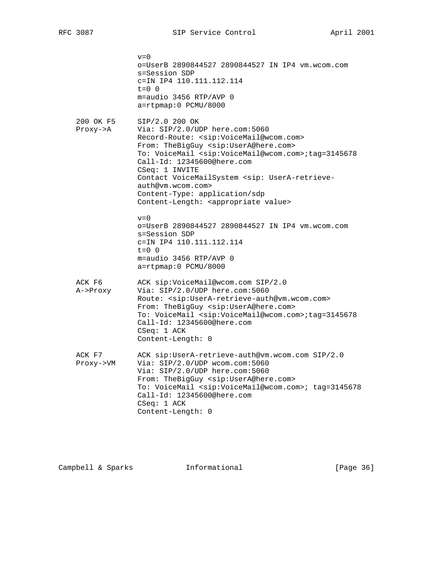$v=0$  o=UserB 2890844527 2890844527 IN IP4 vm.wcom.com s=Session SDP c=IN IP4 110.111.112.114  $t=0$  0 m=audio 3456 RTP/AVP 0 a=rtpmap:0 PCMU/8000 200 OK F5 SIP/2.0 200 OK Proxy->A Via: SIP/2.0/UDP here.com:5060 Record-Route: <sip:VoiceMail@wcom.com> From: TheBigGuy <sip:UserA@here.com> To: VoiceMail <sip:VoiceMail@wcom.com>;tag=3145678 Call-Id: 12345600@here.com CSeq: 1 INVITE Contact VoiceMailSystem <sip: UserA-retrieve auth@vm.wcom.com> Content-Type: application/sdp Content-Length: <appropriate value>  $v=0$  o=UserB 2890844527 2890844527 IN IP4 vm.wcom.com s=Session SDP c=IN IP4 110.111.112.114  $t=0$  0 m=audio 3456 RTP/AVP 0 a=rtpmap:0 PCMU/8000 ACK F6 ACK sip:VoiceMail@wcom.com SIP/2.0 A->Proxy Via: SIP/2.0/UDP here.com:5060 Route: <sip:UserA-retrieve-auth@vm.wcom.com> From: TheBigGuy <sip:UserA@here.com> To: VoiceMail <sip:VoiceMail@wcom.com>;tag=3145678 Call-Id: 12345600@here.com CSeq: 1 ACK Content-Length: 0 ACK F7 ACK sip:UserA-retrieve-auth@vm.wcom.com SIP/2.0 Proxy->VM Via: SIP/2.0/UDP wcom.com:5060 Via: SIP/2.0/UDP here.com:5060 From: TheBigGuy <sip:UserA@here.com> To: VoiceMail <sip:VoiceMail@wcom.com>; tag=3145678 Call-Id: 12345600@here.com CSeq: 1 ACK Content-Length: 0

Campbell & Sparks **Informational** [Page 36]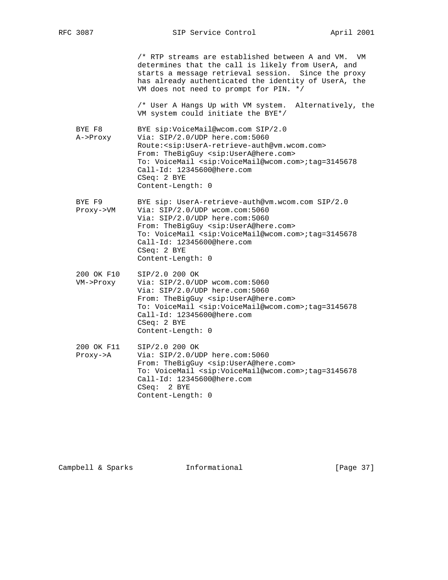|                                     | /* RTP streams are established between A and VM.<br>VM<br>determines that the call is likely from UserA, and<br>starts a message retrieval session. Since the proxy<br>has already authenticated the identity of UserA, the<br>VM does not need to prompt for PIN. */                                                                                   |
|-------------------------------------|---------------------------------------------------------------------------------------------------------------------------------------------------------------------------------------------------------------------------------------------------------------------------------------------------------------------------------------------------------|
|                                     | /* User A Hangs Up with VM system.<br>Alternatively, the<br>VM system could initiate the BYE*/                                                                                                                                                                                                                                                          |
| BYE F8<br>A->Proxy                  | BYE sip:VoiceMail@wcom.com SIP/2.0<br>Via: $SIP/2.0/UDP$ here.com:5060<br>Route: < sip: UserA-retrieve-auth@vm.wcom.com><br>From: TheBigGuy <sip:usera@here.com><br/>To: VoiceMail <sip:voicemail@wcom.com>;tag=3145678<br/>Call-Id: 12345600@here.com<br/><math>CSeq: 2</math> BYE<br/>Content-Length: 0</sip:voicemail@wcom.com></sip:usera@here.com> |
| BYE F9<br>Proxy->VM                 | BYE sip: UserA-retrieve-auth@vm.wcom.com SIP/2.0<br>Via: SIP/2.0/UDP wcom.com:5060<br>Via: SIP/2.0/UDP here.com:5060<br>From: TheBigGuy <sip:usera@here.com><br/>To: VoiceMail <sip:voicemail@wcom.com>;tag=3145678<br/>Call-Id: 12345600@here.com<br/><math>CSeq: 2</math> BYE<br/>Content-Length: 0</sip:voicemail@wcom.com></sip:usera@here.com>     |
| 200 OK F10<br>VM->Proxy             | SIP/2.0 200 OK<br>Via: $SIP/2.0/UDP$ wcom.com:5060<br>Via: SIP/2.0/UDP here.com:5060<br>From: TheBigGuy <sip:usera@here.com><br/>To: VoiceMail <sip:voicemail@wcom.com>;tag=3145678<br/>Call-Id: 12345600@here.com<br/>CSeq: 2 BYE<br/>Content-Length: 0</sip:voicemail@wcom.com></sip:usera@here.com>                                                  |
| 200 OK F11<br>$Proxy \rightarrow A$ | SIP/2.0 200 OK<br>Via: SIP/2.0/UDP here.com:5060<br>From: TheBigGuy <sip:usera@here.com><br/>To: VoiceMail <sip:voicemail@wcom.com>;tag=3145678<br/>Call-Id: 12345600@here.com<br/>2 BYE<br/>CSea:<br/>Content-Length: 0</sip:voicemail@wcom.com></sip:usera@here.com>                                                                                  |

Campbell & Sparks Informational [Page 37]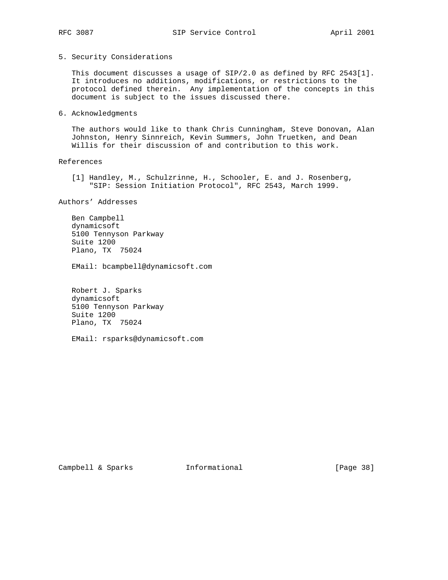## 5. Security Considerations

 This document discusses a usage of SIP/2.0 as defined by RFC 2543[1]. It introduces no additions, modifications, or restrictions to the protocol defined therein. Any implementation of the concepts in this document is subject to the issues discussed there.

### 6. Acknowledgments

 The authors would like to thank Chris Cunningham, Steve Donovan, Alan Johnston, Henry Sinnreich, Kevin Summers, John Truetken, and Dean Willis for their discussion of and contribution to this work.

### References

 [1] Handley, M., Schulzrinne, H., Schooler, E. and J. Rosenberg, "SIP: Session Initiation Protocol", RFC 2543, March 1999.

Authors' Addresses

 Ben Campbell dynamicsoft 5100 Tennyson Parkway Suite 1200 Plano, TX 75024

EMail: bcampbell@dynamicsoft.com

 Robert J. Sparks dynamicsoft 5100 Tennyson Parkway Suite 1200 Plano, TX 75024

EMail: rsparks@dynamicsoft.com